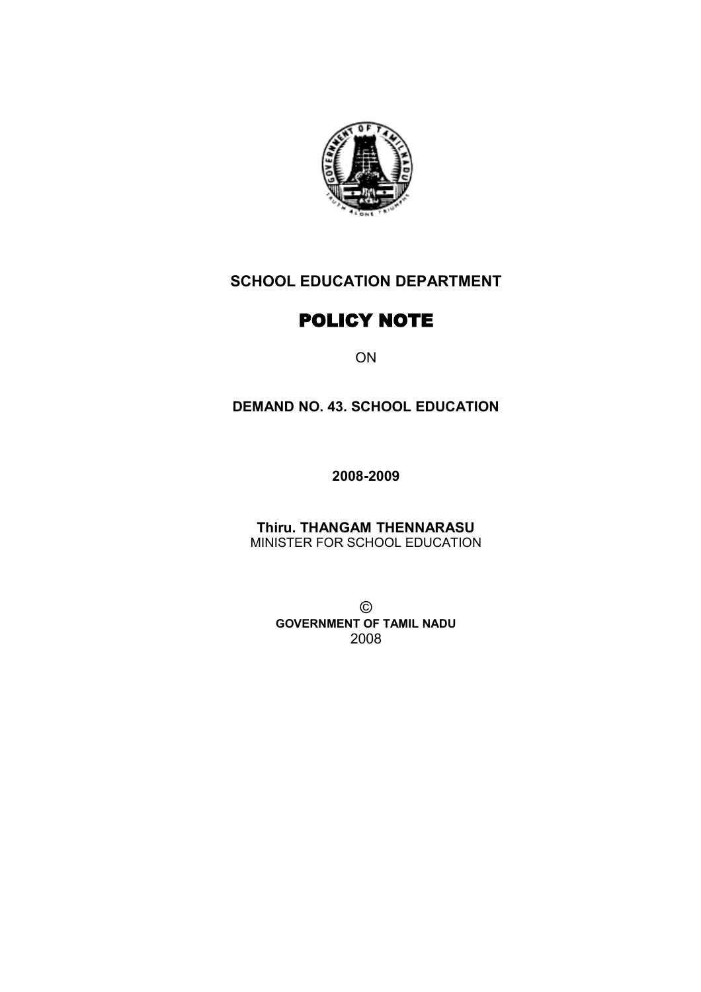

# **SCHOOL EDUCATION DEPARTMENT**

# POLICY NOTE

ON

## **DEMAND NO. 43. SCHOOL EDUCATION**

**2008-2009**

**Thiru. THANGAM THENNARASU** MINISTER FOR SCHOOL EDUCATION

> © **GOVERNMENT OF TAMIL NADU** 2008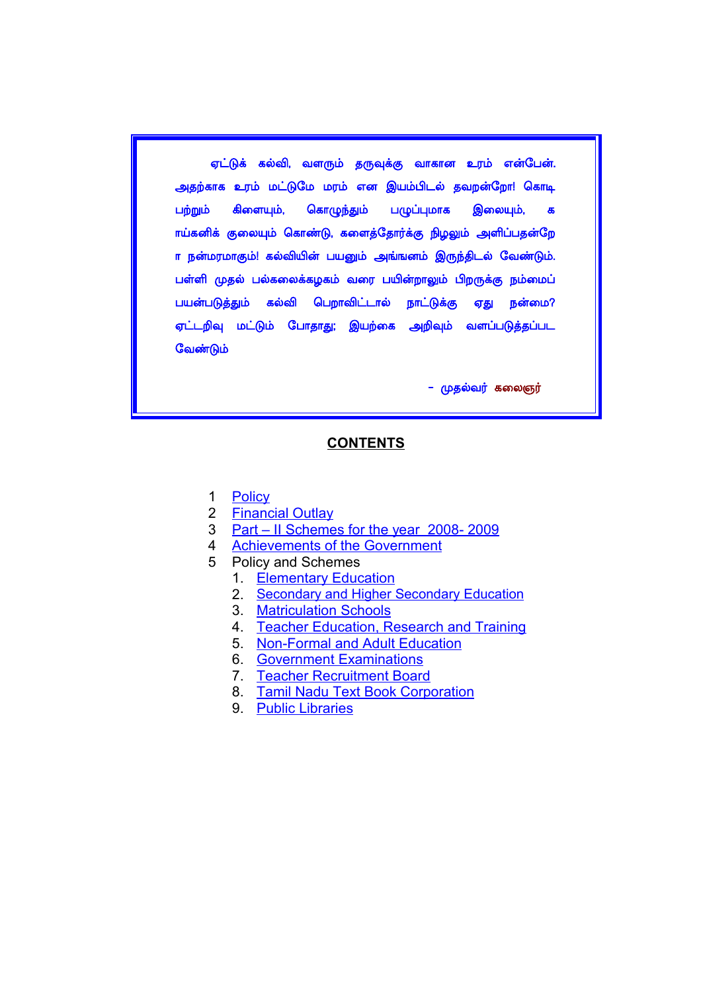ஏட்டுக் கல்வி, வளரும் தருவுக்கு வாகான உரம் என்பேன். அதற்காக உரம் மட்டுமே மரம் என இயம்பிடல் தவறன்றோ! கொடி பற்றும் கிளையும், கொழுந்தும் பழுப்புமாக இலையும், க ாய்கனிக் குலையும் கொண்டு, களைத்தோர்க்கு நிழலும் அளிப்பதன்றே ா நன்மரமாகும்! கல்வியின் பயனும் அங்ஙனம் இருந்திடல் வேண்டும். பள்ளி முதல் பல்கலைக்கழகம் வரை பயின்றாலும் பிறருக்கு நம்மைப் பயன்படுத்தும் கல்வி பெறாவிட்டால் நாட்டுக்கு ஏது நன்மை? <u>ஏட்டறிவு மட்டும் போதாது; இயற்கை அறிவும் வளப்படுத்தப்பட</u> வேண்டும்

<mark>– முதல்வர்</mark> கலைஞர்

#### **CONTENTS**

- 1 [Policy](#page-2-0)
- 2 [Financial Outlay](#page-4-0)
- 3 [Part II Schemes for the year 2008- 2009](#page-5-0)
- 4 Achievements of the Government
- 5 Policy and Schemes
	- 1. [Elementary Education](#page-11-0)
	- 2. [Secondary and Higher Secondary Education](#page-19-0)
	- 3. [Matriculation Schools](#page-29-0)
	- 4. [Teacher Education, Research and Training](#page-30-0)
	- 5. [Non-Formal and Adult Education](#page-33-0)
	- 6. [Government Examinations](#page-35-0)
	- 7. [Teacher Recruitment Board](#page-38-0)
	- 8. [Tamil Nadu Text Book Corporation](#page-40-0)
	- 9. [Public Libraries](#page-42-0)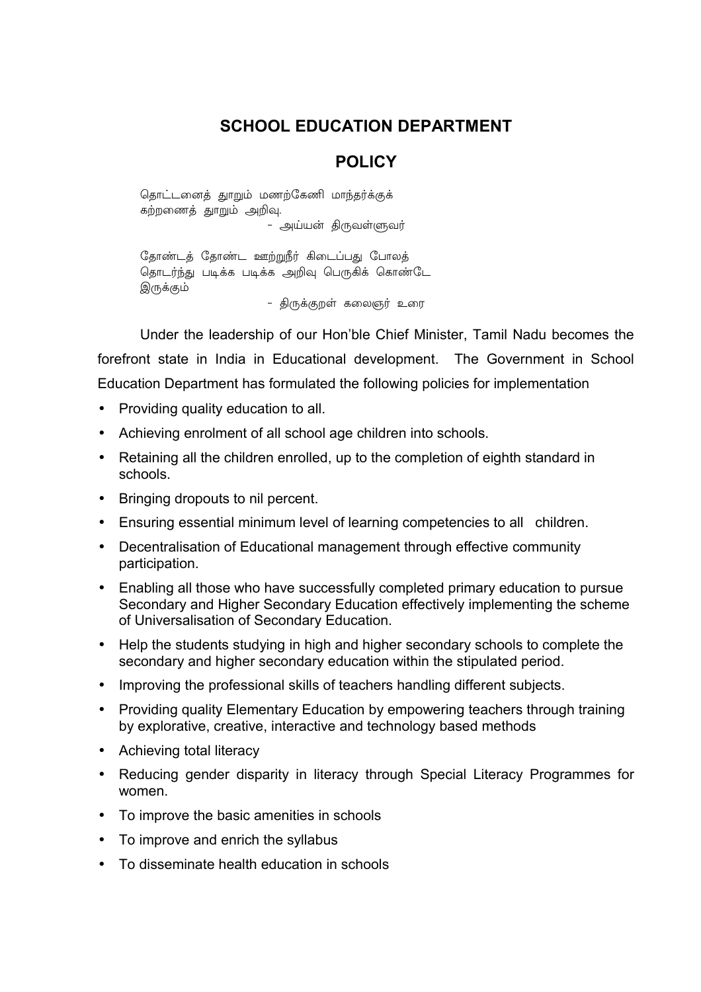## **SCHOOL EDUCATION DEPARTMENT**

## <span id="page-2-0"></span>**POLICY**

தொட்டனைத் துாறும் மணற்கேணி மாந்தர்க்குக் கற்றணைத் துாறும் அறிவு.

- அய்யன் திருவள்ளுவர்

தோண்டத் தோண்ட ஊற்றுநீர் கிடைப்பது போலத் தொடர்ந்து படிக்க படிக்க அறிவு பெருகிக் கொண்டே இருக்கும்

- கிருக்குறள் கலைஞர் உரை

Under the leadership of our Hon'ble Chief Minister, Tamil Nadu becomes the forefront state in India in Educational development. The Government in School Education Department has formulated the following policies for implementation

- Providing quality education to all.
- Achieving enrolment of all school age children into schools.
- Retaining all the children enrolled, up to the completion of eighth standard in schools.
- Bringing dropouts to nil percent.
- Ensuring essential minimum level of learning competencies to all children.
- Decentralisation of Educational management through effective community participation.
- Enabling all those who have successfully completed primary education to pursue Secondary and Higher Secondary Education effectively implementing the scheme of Universalisation of Secondary Education.
- Help the students studying in high and higher secondary schools to complete the secondary and higher secondary education within the stipulated period.
- Improving the professional skills of teachers handling different subjects.
- Providing quality Elementary Education by empowering teachers through training by explorative, creative, interactive and technology based methods
- Achieving total literacy
- Reducing gender disparity in literacy through Special Literacy Programmes for women.
- To improve the basic amenities in schools
- To improve and enrich the syllabus
- To disseminate health education in schools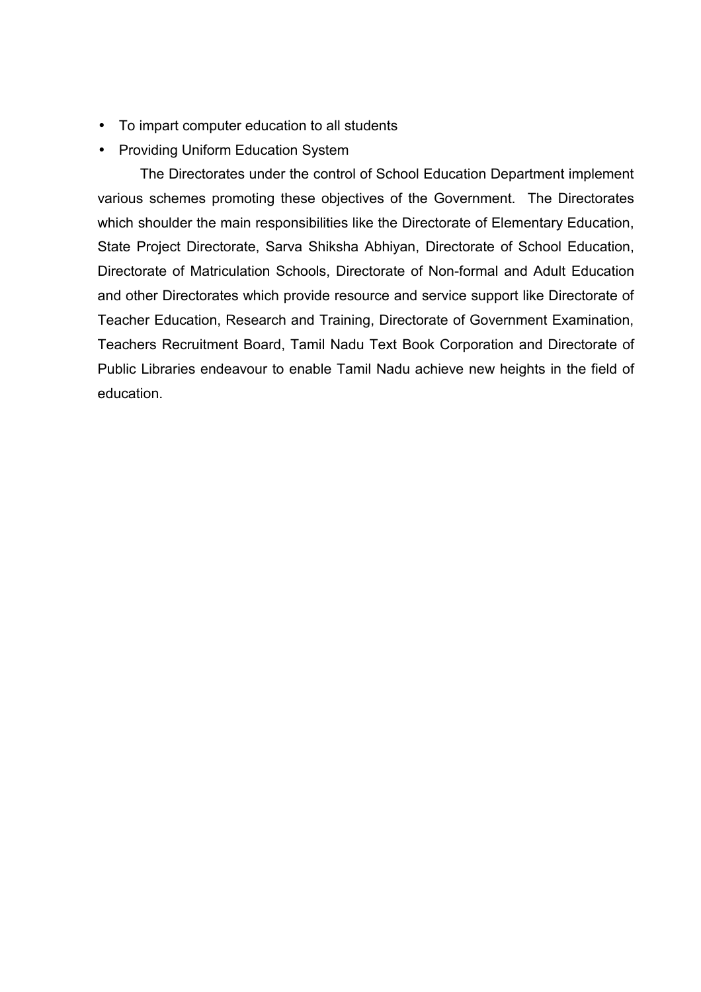- To impart computer education to all students
- Providing Uniform Education System

The Directorates under the control of School Education Department implement various schemes promoting these objectives of the Government. The Directorates which shoulder the main responsibilities like the Directorate of Elementary Education, State Project Directorate, Sarva Shiksha Abhiyan, Directorate of School Education, Directorate of Matriculation Schools, Directorate of Non-formal and Adult Education and other Directorates which provide resource and service support like Directorate of Teacher Education, Research and Training, Directorate of Government Examination, Teachers Recruitment Board, Tamil Nadu Text Book Corporation and Directorate of Public Libraries endeavour to enable Tamil Nadu achieve new heights in the field of education.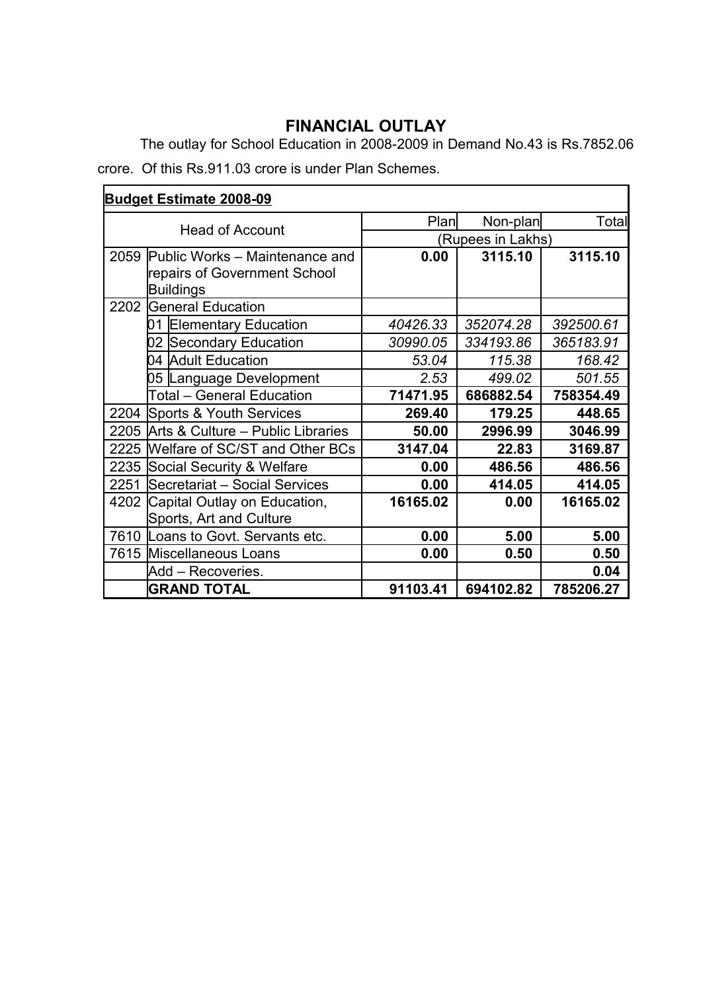# <span id="page-4-0"></span>**FINANCIAL OUTLAY**

The outlay for School Education in 2008-2009 in Demand No.43 is Rs.7852.06 crore. Of this Rs.911.03 crore is under Plan Schemes.

| <b>Budget Estimate 2008-09</b> |                                                                                    |          |                   |           |
|--------------------------------|------------------------------------------------------------------------------------|----------|-------------------|-----------|
| <b>Head of Account</b>         |                                                                                    | Plan     | Non-plan          | Total     |
|                                |                                                                                    |          | (Rupees in Lakhs) |           |
| 2059                           | Public Works - Maintenance and<br>repairs of Government School<br><b>Buildings</b> | 0.00     | 3115.10           | 3115.10   |
| 2202                           | General Education                                                                  |          |                   |           |
|                                | 01<br><b>Elementary Education</b>                                                  | 40426.33 | 352074.28         | 392500.61 |
|                                | 02 Secondary Education                                                             | 30990.05 | 334193.86         | 365183.91 |
|                                | 04 Adult Education                                                                 | 53.04    | 115.38            | 168.42    |
|                                | 05 Language Development                                                            | 2.53     | 499.02            | 501.55    |
|                                | Total - General Education                                                          | 71471.95 | 686882.54         | 758354.49 |
| 2204                           | Sports & Youth Services                                                            | 269.40   | 179.25            | 448.65    |
| 2205                           | Arts & Culture – Public Libraries                                                  | 50.00    | 2996.99           | 3046.99   |
| 2225                           | Welfare of SC/ST and Other BCs                                                     | 3147.04  | 22.83             | 3169.87   |
| 2235                           | Social Security & Welfare                                                          | 0.00     | 486.56            | 486.56    |
| 2251                           | Secretariat - Social Services                                                      | 0.00     | 414.05            | 414.05    |
|                                | 4202 Capital Outlay on Education,<br>Sports, Art and Culture                       | 16165.02 | 0.00              | 16165.02  |
|                                | 7610 Loans to Govt. Servants etc.                                                  | 0.00     | 5.00              | 5.00      |
|                                | 7615 Miscellaneous Loans                                                           | 0.00     | 0.50              | 0.50      |
|                                | Add – Recoveries.                                                                  |          |                   | 0.04      |
|                                | <b>GRAND TOTAL</b>                                                                 | 91103.41 | 694102.82         | 785206.27 |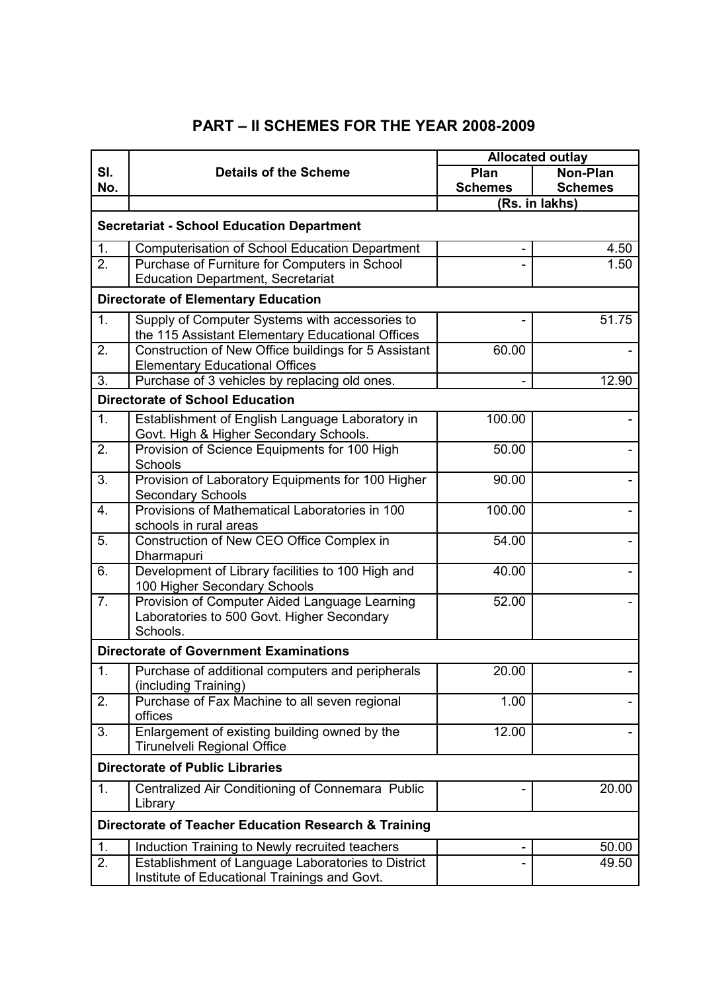## <span id="page-5-0"></span>**PART – II SCHEMES FOR THE YEAR 2008-2009**

|                                                      |                                                                                                    | <b>Allocated outlay</b> |                |
|------------------------------------------------------|----------------------------------------------------------------------------------------------------|-------------------------|----------------|
| SI.                                                  | <b>Details of the Scheme</b>                                                                       | Plan                    | Non-Plan       |
| No.                                                  |                                                                                                    | <b>Schemes</b>          | <b>Schemes</b> |
|                                                      |                                                                                                    |                         | (Rs. in lakhs) |
|                                                      | <b>Secretariat - School Education Department</b>                                                   |                         |                |
| 1.                                                   | <b>Computerisation of School Education Department</b>                                              |                         | 4.50           |
| 2.                                                   | Purchase of Furniture for Computers in School                                                      |                         | 1.50           |
|                                                      | <b>Education Department, Secretariat</b>                                                           |                         |                |
|                                                      | <b>Directorate of Elementary Education</b>                                                         |                         |                |
| 1.                                                   | Supply of Computer Systems with accessories to<br>the 115 Assistant Elementary Educational Offices |                         | 51.75          |
| 2.                                                   | Construction of New Office buildings for 5 Assistant<br><b>Elementary Educational Offices</b>      | 60.00                   |                |
| 3.                                                   | Purchase of 3 vehicles by replacing old ones.                                                      |                         | 12.90          |
|                                                      | <b>Directorate of School Education</b>                                                             |                         |                |
| 1.                                                   | Establishment of English Language Laboratory in                                                    | 100.00                  |                |
| 2.                                                   | Govt. High & Higher Secondary Schools.<br>Provision of Science Equipments for 100 High             | 50.00                   |                |
| 3.                                                   | Schools<br>Provision of Laboratory Equipments for 100 Higher                                       | 90.00                   |                |
|                                                      | <b>Secondary Schools</b>                                                                           |                         |                |
| 4.                                                   | Provisions of Mathematical Laboratories in 100                                                     | 100.00                  |                |
|                                                      | schools in rural areas                                                                             |                         |                |
| 5.                                                   | Construction of New CEO Office Complex in<br>Dharmapuri                                            | 54.00                   |                |
| 6.                                                   | Development of Library facilities to 100 High and<br>100 Higher Secondary Schools                  | 40.00                   |                |
| $\overline{7}$ .                                     | Provision of Computer Aided Language Learning                                                      | 52.00                   |                |
|                                                      | Laboratories to 500 Govt. Higher Secondary                                                         |                         |                |
|                                                      | Schools.                                                                                           |                         |                |
|                                                      | <b>Directorate of Government Examinations</b>                                                      |                         |                |
| $\mathbf 1$                                          | Purchase of additional computers and peripherals<br>(including Training)                           | 20.00                   |                |
| 2.                                                   | Purchase of Fax Machine to all seven regional<br>offices                                           | 1.00                    |                |
| 3.                                                   | Enlargement of existing building owned by the<br>Tirunelveli Regional Office                       | 12.00                   |                |
| <b>Directorate of Public Libraries</b>               |                                                                                                    |                         |                |
| 1.                                                   | Centralized Air Conditioning of Connemara Public<br>Library                                        |                         | 20.00          |
| Directorate of Teacher Education Research & Training |                                                                                                    |                         |                |
| 1.                                                   | Induction Training to Newly recruited teachers                                                     |                         | 50.00          |
| $\overline{2}$ .                                     | Establishment of Language Laboratories to District<br>Institute of Educational Trainings and Govt. |                         | 49.50          |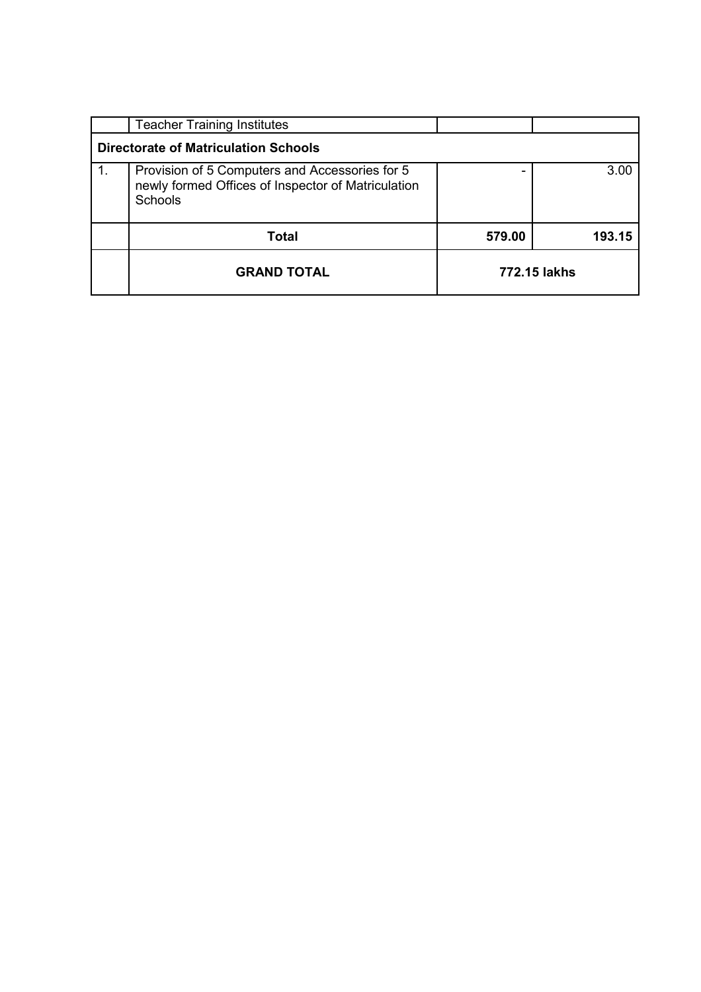|                                             | <b>Teacher Training Institutes</b>                                                                                     |              |        |  |
|---------------------------------------------|------------------------------------------------------------------------------------------------------------------------|--------------|--------|--|
| <b>Directorate of Matriculation Schools</b> |                                                                                                                        |              |        |  |
| 1.                                          | Provision of 5 Computers and Accessories for 5<br>newly formed Offices of Inspector of Matriculation<br><b>Schools</b> |              | 3.00   |  |
|                                             | Total                                                                                                                  | 579.00       | 193.15 |  |
|                                             | <b>GRAND TOTAL</b>                                                                                                     | 772.15 lakhs |        |  |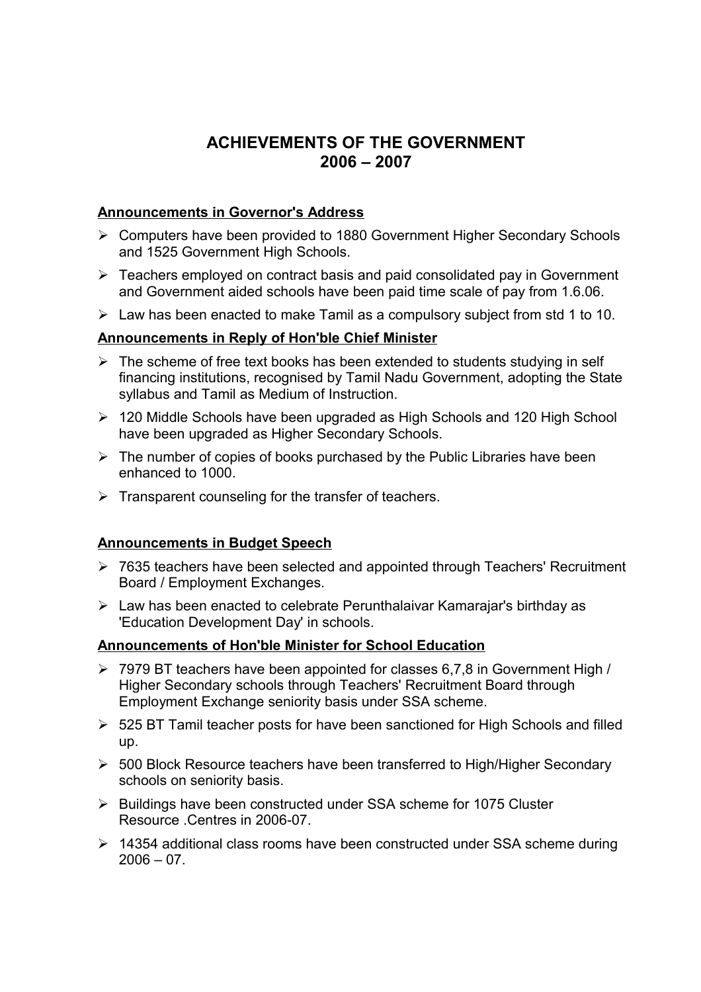## <span id="page-7-0"></span>**ACHIEVEMENTS OF THE GOVERNMENT 2006 – 2007**

### **Announcements in Governor's Address**

- Computers have been provided to 1880 Government Higher Secondary Schools and 1525 Government High Schools.
- $\triangleright$  Teachers employed on contract basis and paid consolidated pay in Government and Government aided schools have been paid time scale of pay from 1.6.06.
- $\triangleright$  Law has been enacted to make Tamil as a compulsory subject from std 1 to 10.

### **Announcements in Reply of Hon'ble Chief Minister**

- $\triangleright$  The scheme of free text books has been extended to students studying in self financing institutions, recognised by Tamil Nadu Government, adopting the State syllabus and Tamil as Medium of Instruction.
- ▶ 120 Middle Schools have been upgraded as High Schools and 120 High School have been upgraded as Higher Secondary Schools.
- $\triangleright$  The number of copies of books purchased by the Public Libraries have been enhanced to 1000.
- $\triangleright$  Transparent counseling for the transfer of teachers.

### **Announcements in Budget Speech**

- ▶ 7635 teachers have been selected and appointed through Teachers' Recruitment Board / Employment Exchanges.
- $\triangleright$  Law has been enacted to celebrate Perunthalaivar Kamarajar's birthday as 'Education Development Day' in schools.

### **Announcements of Hon'ble Minister for School Education**

- 7979 BT teachers have been appointed for classes 6,7,8 in Government High / Higher Secondary schools through Teachers' Recruitment Board through Employment Exchange seniority basis under SSA scheme.
- $>$  525 BT Tamil teacher posts for have been sanctioned for High Schools and filled up.
- $>$  500 Block Resource teachers have been transferred to High/Higher Secondary schools on seniority basis.
- $\triangleright$  Buildings have been constructed under SSA scheme for 1075 Cluster Resource Centres in 2006-07
- $\geq$  14354 additional class rooms have been constructed under SSA scheme during  $2006 - 07$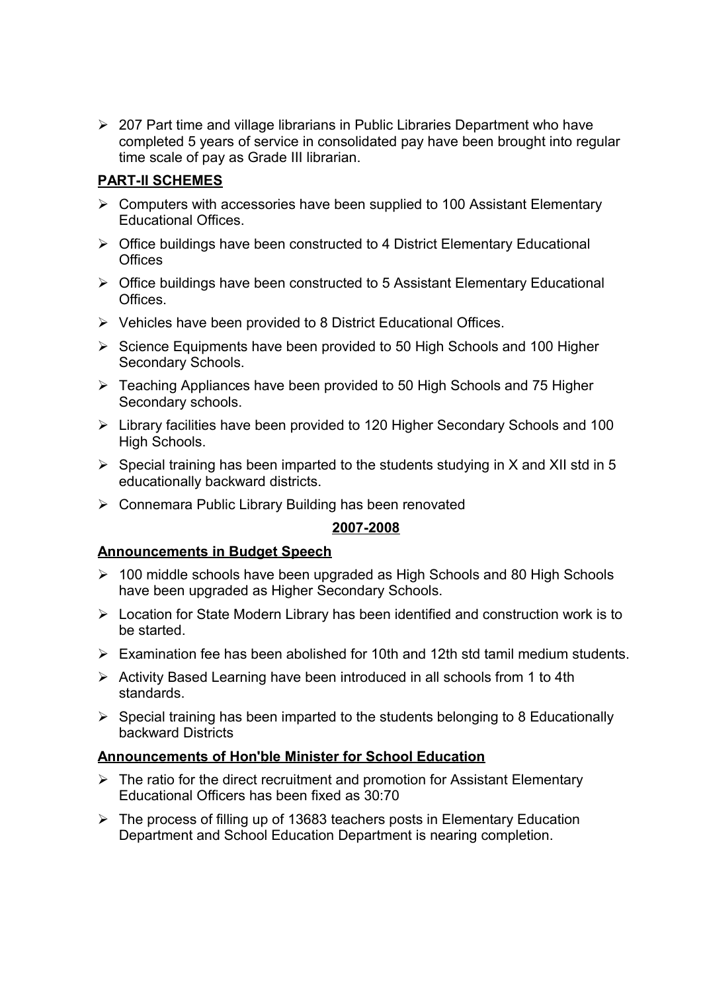207 Part time and village librarians in Public Libraries Department who have completed 5 years of service in consolidated pay have been brought into regular time scale of pay as Grade III librarian.

### **PART-II SCHEMES**

- $\triangleright$  Computers with accessories have been supplied to 100 Assistant Elementary Educational Offices.
- $\triangleright$  Office buildings have been constructed to 4 District Elementary Educational **Offices**
- $\triangleright$  Office buildings have been constructed to 5 Assistant Elementary Educational Offices.
- $\triangleright$  Vehicles have been provided to 8 District Educational Offices.
- $\triangleright$  Science Equipments have been provided to 50 High Schools and 100 Higher Secondary Schools.
- $\triangleright$  Teaching Appliances have been provided to 50 High Schools and 75 Higher Secondary schools.
- Library facilities have been provided to 120 Higher Secondary Schools and 100 High Schools.
- $\triangleright$  Special training has been imparted to the students studying in X and XII std in 5 educationally backward districts.
- ▶ Connemara Public Library Building has been renovated

### **2007-2008**

### **Announcements in Budget Speech**

- $\geq$  100 middle schools have been upgraded as High Schools and 80 High Schools have been upgraded as Higher Secondary Schools.
- $\triangleright$  Location for State Modern Library has been identified and construction work is to be started.
- $\triangleright$  Examination fee has been abolished for 10th and 12th std tamil medium students.
- $\triangleright$  Activity Based Learning have been introduced in all schools from 1 to 4th standards.
- $\triangleright$  Special training has been imparted to the students belonging to 8 Educationally backward Districts

### **Announcements of Hon'ble Minister for School Education**

- $\triangleright$  The ratio for the direct recruitment and promotion for Assistant Elementary Educational Officers has been fixed as 30:70
- $\triangleright$  The process of filling up of 13683 teachers posts in Elementary Education Department and School Education Department is nearing completion.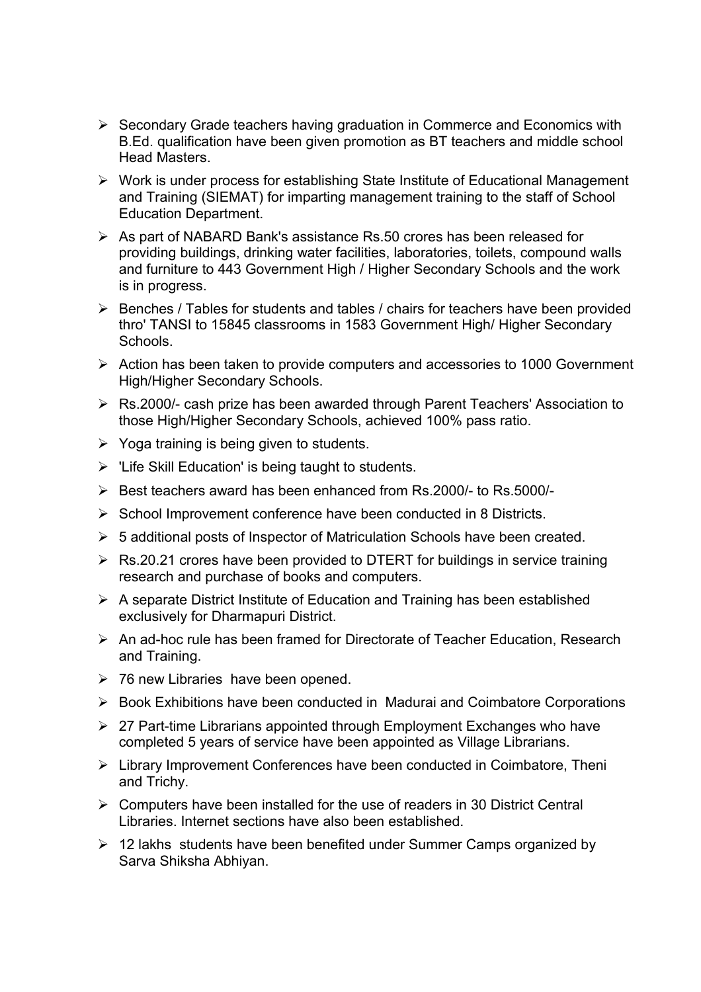- $\triangleright$  Secondary Grade teachers having graduation in Commerce and Economics with B.Ed. qualification have been given promotion as BT teachers and middle school Head Masters.
- $\triangleright$  Work is under process for establishing State Institute of Educational Management and Training (SIEMAT) for imparting management training to the staff of School Education Department.
- $\triangleright$  As part of NABARD Bank's assistance Rs.50 crores has been released for providing buildings, drinking water facilities, laboratories, toilets, compound walls and furniture to 443 Government High / Higher Secondary Schools and the work is in progress.
- $\triangleright$  Benches / Tables for students and tables / chairs for teachers have been provided thro' TANSI to 15845 classrooms in 1583 Government High/ Higher Secondary **Schools**
- $\triangleright$  Action has been taken to provide computers and accessories to 1000 Government High/Higher Secondary Schools.
- Rs.2000/- cash prize has been awarded through Parent Teachers' Association to those High/Higher Secondary Schools, achieved 100% pass ratio.
- $\triangleright$  Yoga training is being given to students.
- $\triangleright$  'Life Skill Education' is being taught to students.
- Best teachers award has been enhanced from Rs.2000/- to Rs.5000/-
- $\triangleright$  School Improvement conference have been conducted in 8 Districts.
- $\geq 5$  additional posts of Inspector of Matriculation Schools have been created.
- $\triangleright$  Rs.20.21 crores have been provided to DTERT for buildings in service training research and purchase of books and computers.
- $\triangleright$  A separate District Institute of Education and Training has been established exclusively for Dharmapuri District.
- An ad-hoc rule has been framed for Directorate of Teacher Education, Research and Training.
- $\geq$  76 new Libraries have been opened.
- $\triangleright$  Book Exhibitions have been conducted in Madurai and Coimbatore Corporations
- $\geq$  27 Part-time Librarians appointed through Employment Exchanges who have completed 5 years of service have been appointed as Village Librarians.
- Library Improvement Conferences have been conducted in Coimbatore, Theni and Trichy.
- $\triangleright$  Computers have been installed for the use of readers in 30 District Central Libraries. Internet sections have also been established.
- $\geq$  12 lakhs students have been benefited under Summer Camps organized by Sarva Shiksha Abhiyan.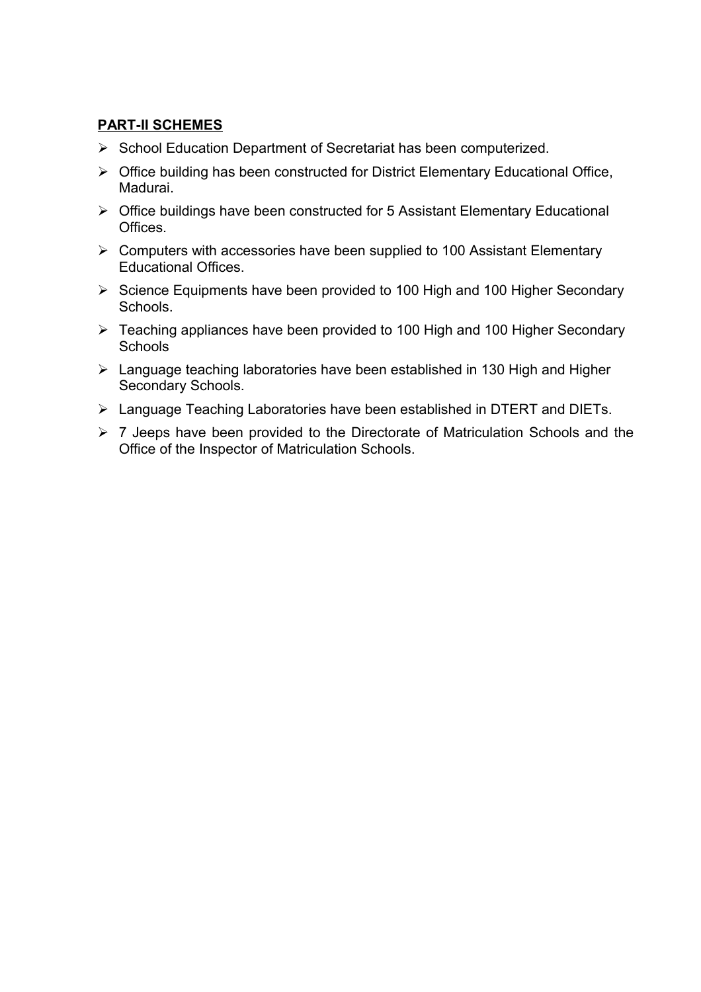### **PART-II SCHEMES**

- $\triangleright$  School Education Department of Secretariat has been computerized.
- $\triangleright$  Office building has been constructed for District Elementary Educational Office, Madurai.
- $\triangleright$  Office buildings have been constructed for 5 Assistant Elementary Educational Offices.
- $\triangleright$  Computers with accessories have been supplied to 100 Assistant Elementary Educational Offices.
- $\triangleright$  Science Equipments have been provided to 100 High and 100 Higher Secondary Schools.
- Teaching appliances have been provided to 100 High and 100 Higher Secondary **Schools**
- Language teaching laboratories have been established in 130 High and Higher Secondary Schools.
- Language Teaching Laboratories have been established in DTERT and DIETs.
- $\geq 7$  Jeeps have been provided to the Directorate of Matriculation Schools and the Office of the Inspector of Matriculation Schools.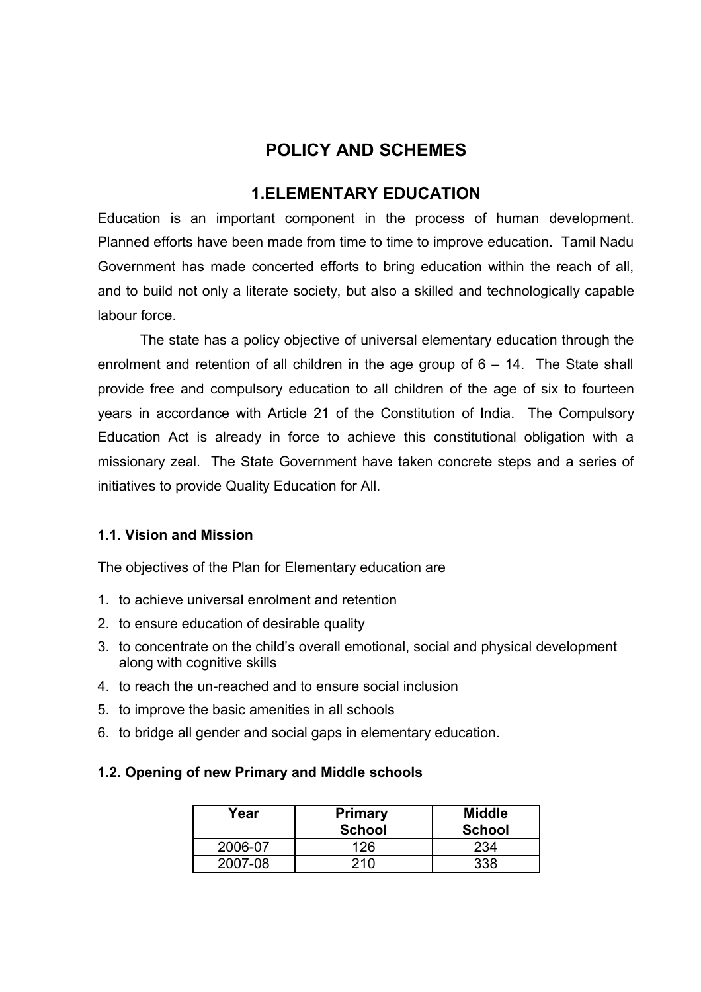# **POLICY AND SCHEMES**

## <span id="page-11-0"></span>**1.ELEMENTARY EDUCATION**

Education is an important component in the process of human development. Planned efforts have been made from time to time to improve education. Tamil Nadu Government has made concerted efforts to bring education within the reach of all, and to build not only a literate society, but also a skilled and technologically capable labour force.

The state has a policy objective of universal elementary education through the enrolment and retention of all children in the age group of 6 – 14. The State shall provide free and compulsory education to all children of the age of six to fourteen years in accordance with Article 21 of the Constitution of India. The Compulsory Education Act is already in force to achieve this constitutional obligation with a missionary zeal. The State Government have taken concrete steps and a series of initiatives to provide Quality Education for All.

### **1.1. Vision and Mission**

The objectives of the Plan for Elementary education are

- 1. to achieve universal enrolment and retention
- 2. to ensure education of desirable quality
- 3. to concentrate on the child's overall emotional, social and physical development along with cognitive skills
- 4. to reach the un-reached and to ensure social inclusion
- 5. to improve the basic amenities in all schools
- 6. to bridge all gender and social gaps in elementary education.

### **1.2. Opening of new Primary and Middle schools**

| Year    | <b>Primary</b><br><b>School</b> | <b>Middle</b><br><b>School</b> |
|---------|---------------------------------|--------------------------------|
| 2006-07 | 126                             | 234                            |
| 2007-08 | 210                             |                                |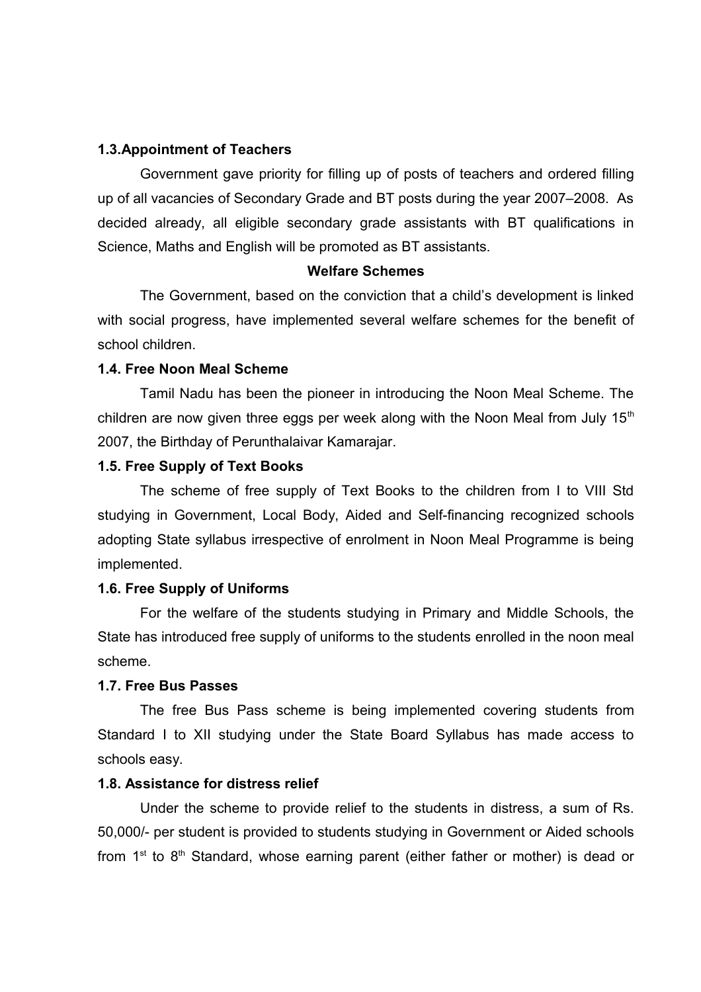### **1.3.Appointment of Teachers**

Government gave priority for filling up of posts of teachers and ordered filling up of all vacancies of Secondary Grade and BT posts during the year 2007–2008. As decided already, all eligible secondary grade assistants with BT qualifications in Science, Maths and English will be promoted as BT assistants.

#### **Welfare Schemes**

The Government, based on the conviction that a child's development is linked with social progress, have implemented several welfare schemes for the benefit of school children.

#### **1.4. Free Noon Meal Scheme**

Tamil Nadu has been the pioneer in introducing the Noon Meal Scheme. The children are now given three eggs per week along with the Noon Meal from July  $15<sup>th</sup>$ 2007, the Birthday of Perunthalaivar Kamarajar.

#### **1.5. Free Supply of Text Books**

The scheme of free supply of Text Books to the children from I to VIII Std studying in Government, Local Body, Aided and Self-financing recognized schools adopting State syllabus irrespective of enrolment in Noon Meal Programme is being implemented.

#### **1.6. Free Supply of Uniforms**

For the welfare of the students studying in Primary and Middle Schools, the State has introduced free supply of uniforms to the students enrolled in the noon meal scheme.

#### **1.7. Free Bus Passes**

The free Bus Pass scheme is being implemented covering students from Standard I to XII studying under the State Board Syllabus has made access to schools easy.

### **1.8. Assistance for distress relief**

Under the scheme to provide relief to the students in distress, a sum of Rs. 50,000/- per student is provided to students studying in Government or Aided schools from  $1^{st}$  to  $8^{th}$  Standard, whose earning parent (either father or mother) is dead or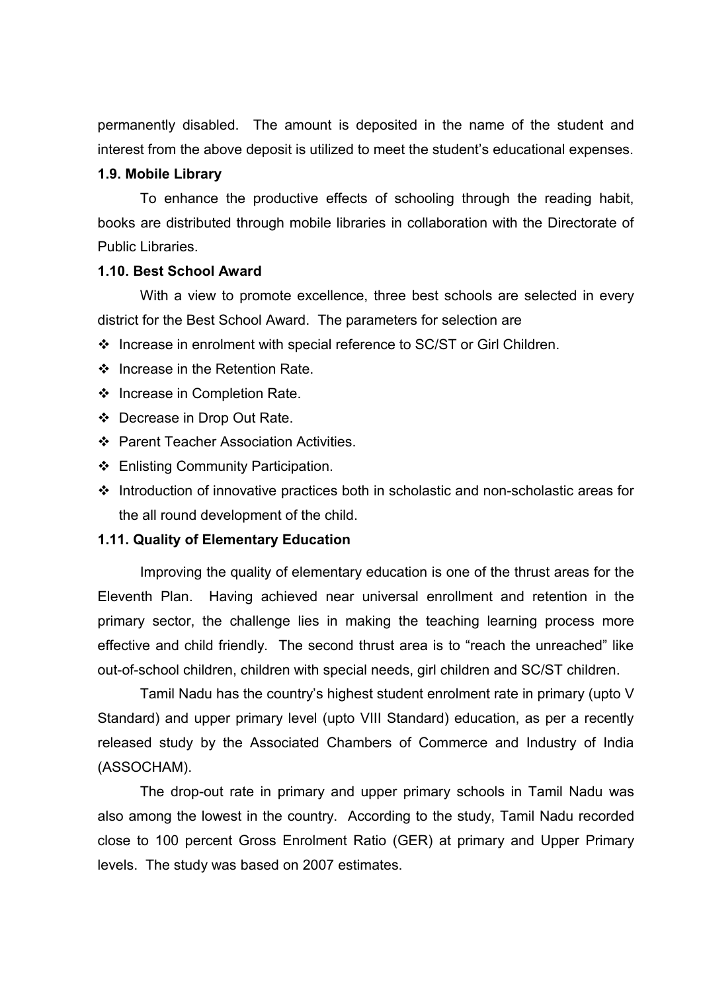permanently disabled. The amount is deposited in the name of the student and interest from the above deposit is utilized to meet the student's educational expenses.

### **1.9. Mobile Library**

To enhance the productive effects of schooling through the reading habit, books are distributed through mobile libraries in collaboration with the Directorate of Public Libraries.

#### **1.10. Best School Award**

With a view to promote excellence, three best schools are selected in every district for the Best School Award. The parameters for selection are

- Increase in enrolment with special reference to SC/ST or Girl Children.
- ❖ Increase in the Retention Rate.
- ❖ Increase in Completion Rate.
- Decrease in Drop Out Rate.
- Parent Teacher Association Activities.
- ❖ Enlisting Community Participation.
- $\cdot$  Introduction of innovative practices both in scholastic and non-scholastic areas for the all round development of the child.

#### **1.11. Quality of Elementary Education**

Improving the quality of elementary education is one of the thrust areas for the Eleventh Plan. Having achieved near universal enrollment and retention in the primary sector, the challenge lies in making the teaching learning process more effective and child friendly. The second thrust area is to "reach the unreached" like out-of-school children, children with special needs, girl children and SC/ST children.

Tamil Nadu has the country's highest student enrolment rate in primary (upto V Standard) and upper primary level (upto VIII Standard) education, as per a recently released study by the Associated Chambers of Commerce and Industry of India (ASSOCHAM).

The drop-out rate in primary and upper primary schools in Tamil Nadu was also among the lowest in the country. According to the study, Tamil Nadu recorded close to 100 percent Gross Enrolment Ratio (GER) at primary and Upper Primary levels. The study was based on 2007 estimates.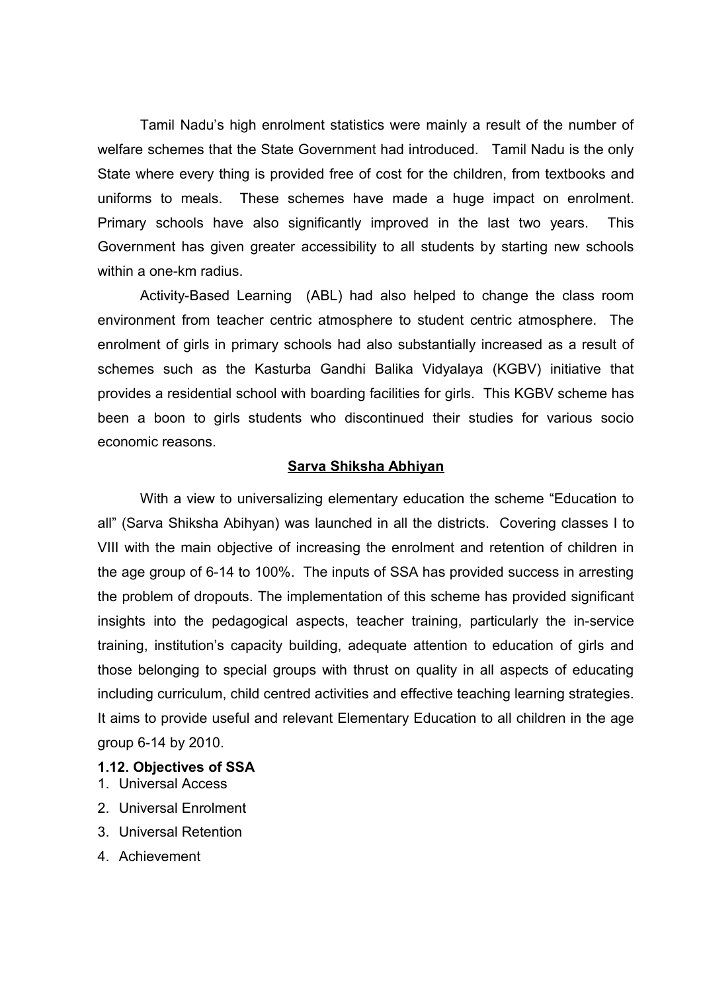Tamil Nadu's high enrolment statistics were mainly a result of the number of welfare schemes that the State Government had introduced. Tamil Nadu is the only State where every thing is provided free of cost for the children, from textbooks and uniforms to meals. These schemes have made a huge impact on enrolment. Primary schools have also significantly improved in the last two years. This Government has given greater accessibility to all students by starting new schools within a one-km radius.

Activity-Based Learning (ABL) had also helped to change the class room environment from teacher centric atmosphere to student centric atmosphere. The enrolment of girls in primary schools had also substantially increased as a result of schemes such as the Kasturba Gandhi Balika Vidyalaya (KGBV) initiative that provides a residential school with boarding facilities for girls. This KGBV scheme has been a boon to girls students who discontinued their studies for various socio economic reasons.

### **Sarva Shiksha Abhiyan**

With a view to universalizing elementary education the scheme "Education to all" (Sarva Shiksha Abihyan) was launched in all the districts. Covering classes I to VIII with the main objective of increasing the enrolment and retention of children in the age group of 6-14 to 100%. The inputs of SSA has provided success in arresting the problem of dropouts. The implementation of this scheme has provided significant insights into the pedagogical aspects, teacher training, particularly the in-service training, institution's capacity building, adequate attention to education of girls and those belonging to special groups with thrust on quality in all aspects of educating including curriculum, child centred activities and effective teaching learning strategies. It aims to provide useful and relevant Elementary Education to all children in the age group 6-14 by 2010.

#### **1.12. Objectives of SSA**

- 1. Universal Access
- 2. Universal Enrolment
- 3. Universal Retention
- 4. Achievement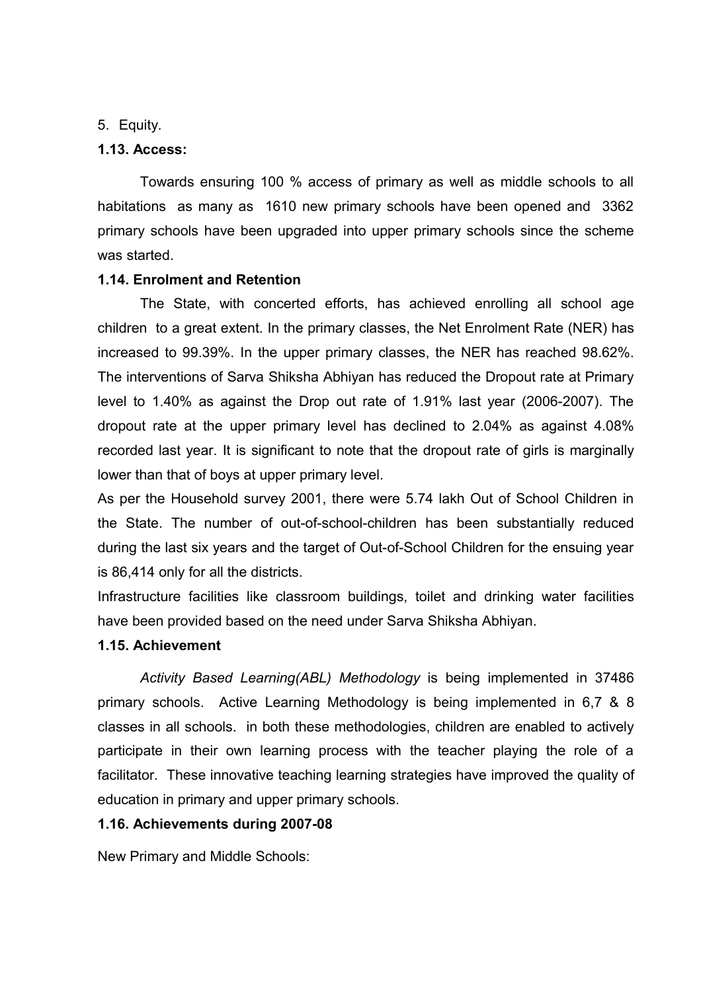### 5. Equity.

### **1.13. Access:**

Towards ensuring 100 % access of primary as well as middle schools to all habitations as many as 1610 new primary schools have been opened and 3362 primary schools have been upgraded into upper primary schools since the scheme was started.

### **1.14. Enrolment and Retention**

The State, with concerted efforts, has achieved enrolling all school age children to a great extent. In the primary classes, the Net Enrolment Rate (NER) has increased to 99.39%. In the upper primary classes, the NER has reached 98.62%. The interventions of Sarva Shiksha Abhiyan has reduced the Dropout rate at Primary level to 1.40% as against the Drop out rate of 1.91% last year (2006-2007). The dropout rate at the upper primary level has declined to 2.04% as against 4.08% recorded last year. It is significant to note that the dropout rate of girls is marginally lower than that of boys at upper primary level.

As per the Household survey 2001, there were 5.74 lakh Out of School Children in the State. The number of out-of-school-children has been substantially reduced during the last six years and the target of Out-of-School Children for the ensuing year is 86,414 only for all the districts.

Infrastructure facilities like classroom buildings, toilet and drinking water facilities have been provided based on the need under Sarva Shiksha Abhiyan.

### **1.15. Achievement**

*Activity Based Learning(ABL) Methodology* is being implemented in 37486 primary schools. Active Learning Methodology is being implemented in 6,7 & 8 classes in all schools. in both these methodologies, children are enabled to actively participate in their own learning process with the teacher playing the role of a facilitator. These innovative teaching learning strategies have improved the quality of education in primary and upper primary schools.

### **1.16. Achievements during 2007-08**

New Primary and Middle Schools: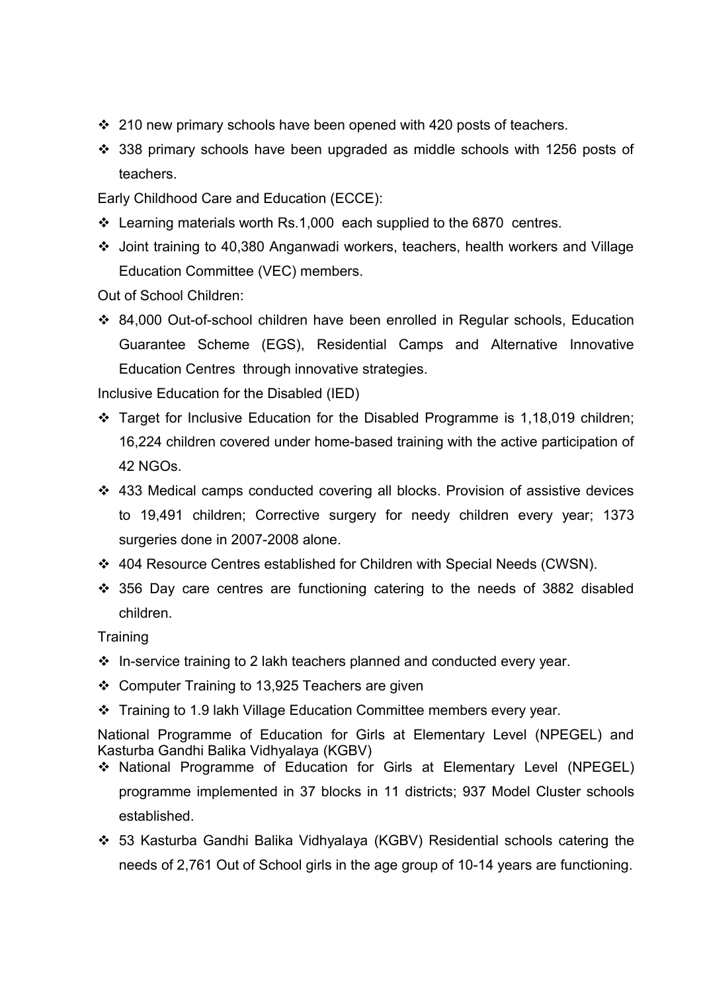- $\div$  210 new primary schools have been opened with 420 posts of teachers.
- 338 primary schools have been upgraded as middle schools with 1256 posts of teachers.
- Early Childhood Care and Education (ECCE):
- Learning materials worth Rs.1,000 each supplied to the 6870 centres.
- Joint training to 40,380 Anganwadi workers, teachers, health workers and Village Education Committee (VEC) members.

Out of School Children:

 84,000 Out-of-school children have been enrolled in Regular schools, Education Guarantee Scheme (EGS), Residential Camps and Alternative Innovative Education Centres through innovative strategies.

Inclusive Education for the Disabled (IED)

- Target for Inclusive Education for the Disabled Programme is 1,18,019 children; 16,224 children covered under home-based training with the active participation of 42 NGOs.
- 433 Medical camps conducted covering all blocks. Provision of assistive devices to 19,491 children; Corrective surgery for needy children every year; 1373 surgeries done in 2007-2008 alone.
- 404 Resource Centres established for Children with Special Needs (CWSN).
- 356 Day care centres are functioning catering to the needs of 3882 disabled children.

**Training** 

- $\cdot$  In-service training to 2 lakh teachers planned and conducted every year.
- Computer Training to 13,925 Teachers are given
- Training to 1.9 lakh Village Education Committee members every year.

National Programme of Education for Girls at Elementary Level (NPEGEL) and Kasturba Gandhi Balika Vidhyalaya (KGBV)

- National Programme of Education for Girls at Elementary Level (NPEGEL) programme implemented in 37 blocks in 11 districts; 937 Model Cluster schools established.
- 53 Kasturba Gandhi Balika Vidhyalaya (KGBV) Residential schools catering the needs of 2,761 Out of School girls in the age group of 10-14 years are functioning.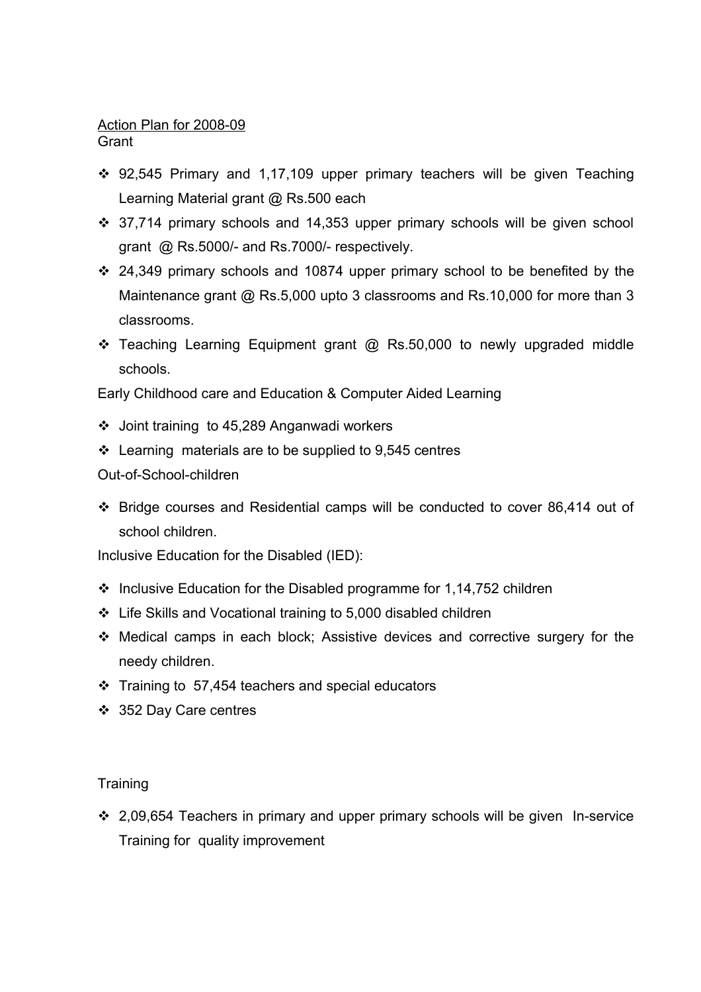# Action Plan for 2008-09

**Grant** 

- 92,545 Primary and 1,17,109 upper primary teachers will be given Teaching Learning Material grant @ Rs.500 each
- 37,714 primary schools and 14,353 upper primary schools will be given school grant @ Rs.5000/- and Rs.7000/- respectively.
- 24,349 primary schools and 10874 upper primary school to be benefited by the Maintenance grant @ Rs.5,000 upto 3 classrooms and Rs.10,000 for more than 3 classrooms.
- Teaching Learning Equipment grant @ Rs.50,000 to newly upgraded middle schools.

Early Childhood care and Education & Computer Aided Learning

- Joint training to 45,289 Anganwadi workers
- $\cdot$  Learning materials are to be supplied to 9,545 centres

### Out-of-School-children

 Bridge courses and Residential camps will be conducted to cover 86,414 out of school children.

Inclusive Education for the Disabled (IED):

- $\cdot$  Inclusive Education for the Disabled programme for 1,14,752 children
- Life Skills and Vocational training to 5,000 disabled children
- Medical camps in each block; Assistive devices and corrective surgery for the needy children.
- $\div$  Training to 57,454 teachers and special educators
- 352 Day Care centres

### **Training**

 2,09,654 Teachers in primary and upper primary schools will be given In-service Training for quality improvement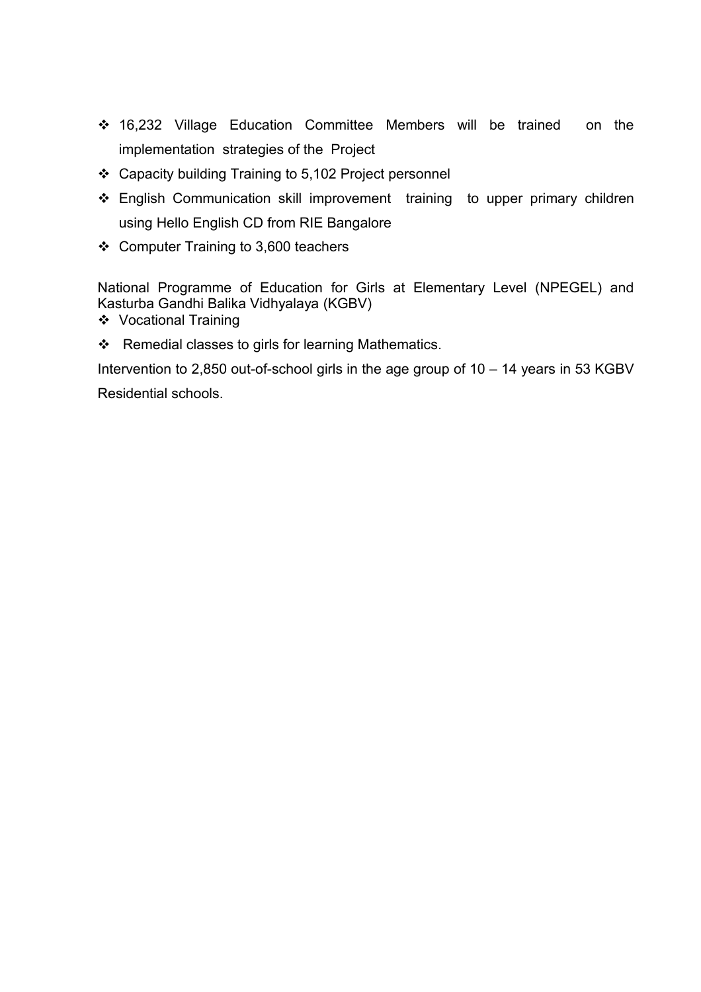- 16,232 Village Education Committee Members will be trained on the implementation strategies of the Project
- Capacity building Training to 5,102 Project personnel
- \* English Communication skill improvement training to upper primary children using Hello English CD from RIE Bangalore
- Computer Training to 3,600 teachers

National Programme of Education for Girls at Elementary Level (NPEGEL) and Kasturba Gandhi Balika Vidhyalaya (KGBV)

- Vocational Training
- $\div$  Remedial classes to girls for learning Mathematics.

Intervention to 2,850 out-of-school girls in the age group of  $10 - 14$  years in 53 KGBV Residential schools.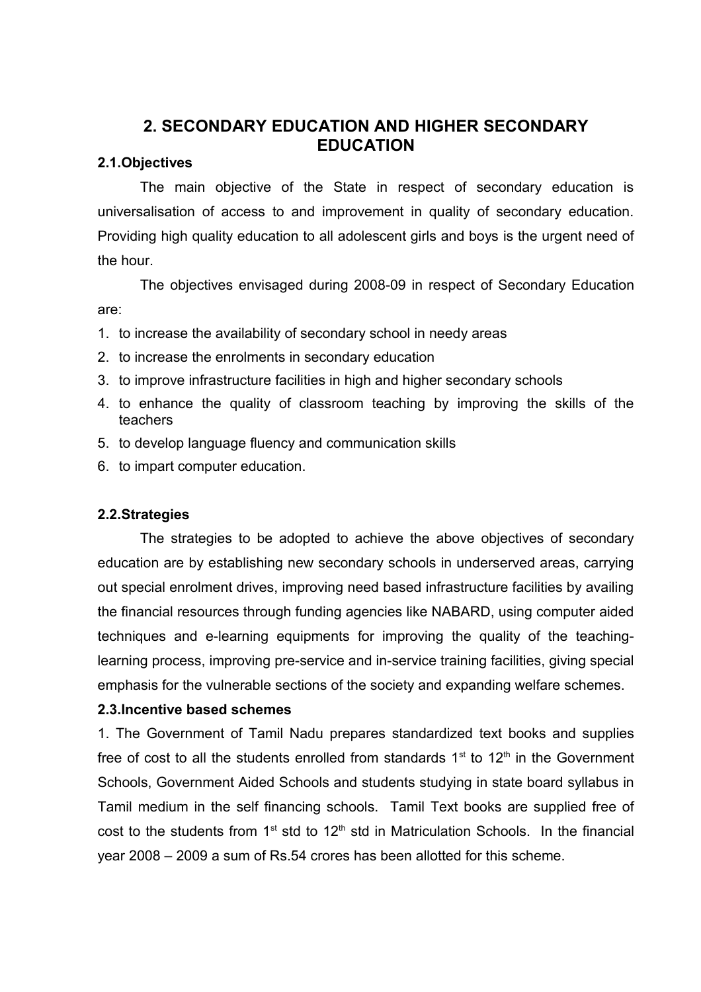## <span id="page-19-0"></span>**2. SECONDARY EDUCATION AND HIGHER SECONDARY EDUCATION**

### **2.1.Objectives**

The main objective of the State in respect of secondary education is universalisation of access to and improvement in quality of secondary education. Providing high quality education to all adolescent girls and boys is the urgent need of the hour.

The objectives envisaged during 2008-09 in respect of Secondary Education are:

- 1. to increase the availability of secondary school in needy areas
- 2. to increase the enrolments in secondary education
- 3. to improve infrastructure facilities in high and higher secondary schools
- 4. to enhance the quality of classroom teaching by improving the skills of the teachers
- 5. to develop language fluency and communication skills
- 6. to impart computer education.

### **2.2.Strategies**

The strategies to be adopted to achieve the above objectives of secondary education are by establishing new secondary schools in underserved areas, carrying out special enrolment drives, improving need based infrastructure facilities by availing the financial resources through funding agencies like NABARD, using computer aided techniques and e-learning equipments for improving the quality of the teachinglearning process, improving pre-service and in-service training facilities, giving special emphasis for the vulnerable sections of the society and expanding welfare schemes.

### **2.3.Incentive based schemes**

1. The Government of Tamil Nadu prepares standardized text books and supplies free of cost to all the students enrolled from standards  $1<sup>st</sup>$  to  $12<sup>th</sup>$  in the Government Schools, Government Aided Schools and students studying in state board syllabus in Tamil medium in the self financing schools. Tamil Text books are supplied free of cost to the students from  $1<sup>st</sup>$  std to  $12<sup>th</sup>$  std in Matriculation Schools. In the financial year 2008 – 2009 a sum of Rs.54 crores has been allotted for this scheme.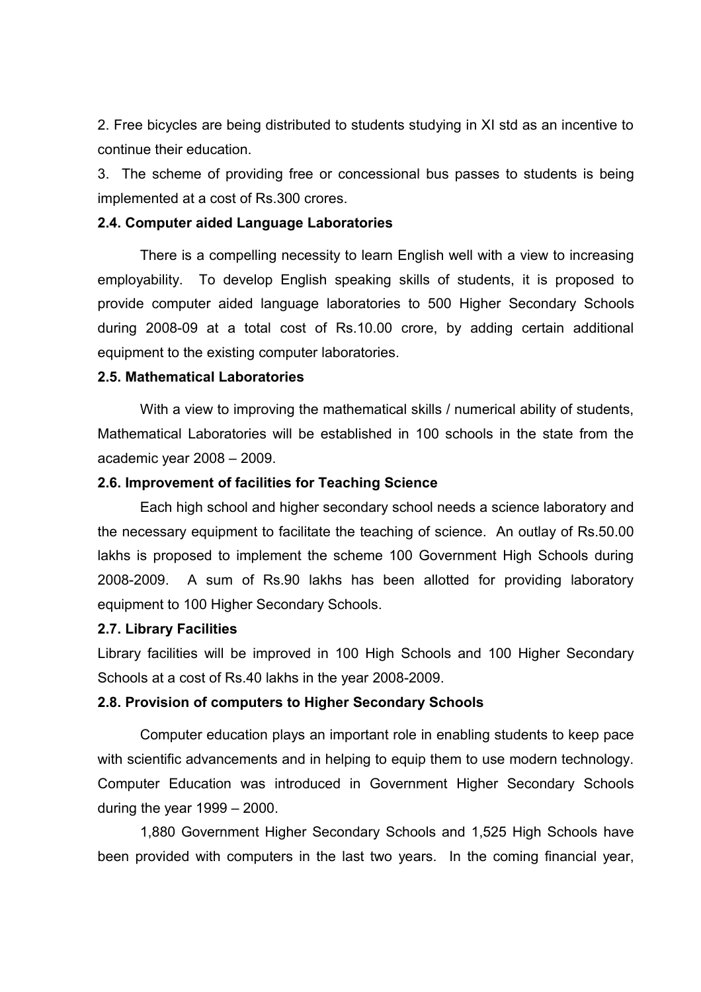2. Free bicycles are being distributed to students studying in XI std as an incentive to continue their education.

3. The scheme of providing free or concessional bus passes to students is being implemented at a cost of Rs.300 crores.

#### **2.4. Computer aided Language Laboratories**

There is a compelling necessity to learn English well with a view to increasing employability. To develop English speaking skills of students, it is proposed to provide computer aided language laboratories to 500 Higher Secondary Schools during 2008-09 at a total cost of Rs.10.00 crore, by adding certain additional equipment to the existing computer laboratories.

### **2.5. Mathematical Laboratories**

With a view to improving the mathematical skills / numerical ability of students, Mathematical Laboratories will be established in 100 schools in the state from the academic year 2008 – 2009.

### **2.6. Improvement of facilities for Teaching Science**

Each high school and higher secondary school needs a science laboratory and the necessary equipment to facilitate the teaching of science. An outlay of Rs.50.00 lakhs is proposed to implement the scheme 100 Government High Schools during 2008-2009. A sum of Rs.90 lakhs has been allotted for providing laboratory equipment to 100 Higher Secondary Schools.

#### **2.7. Library Facilities**

Library facilities will be improved in 100 High Schools and 100 Higher Secondary Schools at a cost of Rs.40 lakhs in the year 2008-2009.

### **2.8. Provision of computers to Higher Secondary Schools**

Computer education plays an important role in enabling students to keep pace with scientific advancements and in helping to equip them to use modern technology. Computer Education was introduced in Government Higher Secondary Schools during the year 1999 – 2000.

1,880 Government Higher Secondary Schools and 1,525 High Schools have been provided with computers in the last two years. In the coming financial year,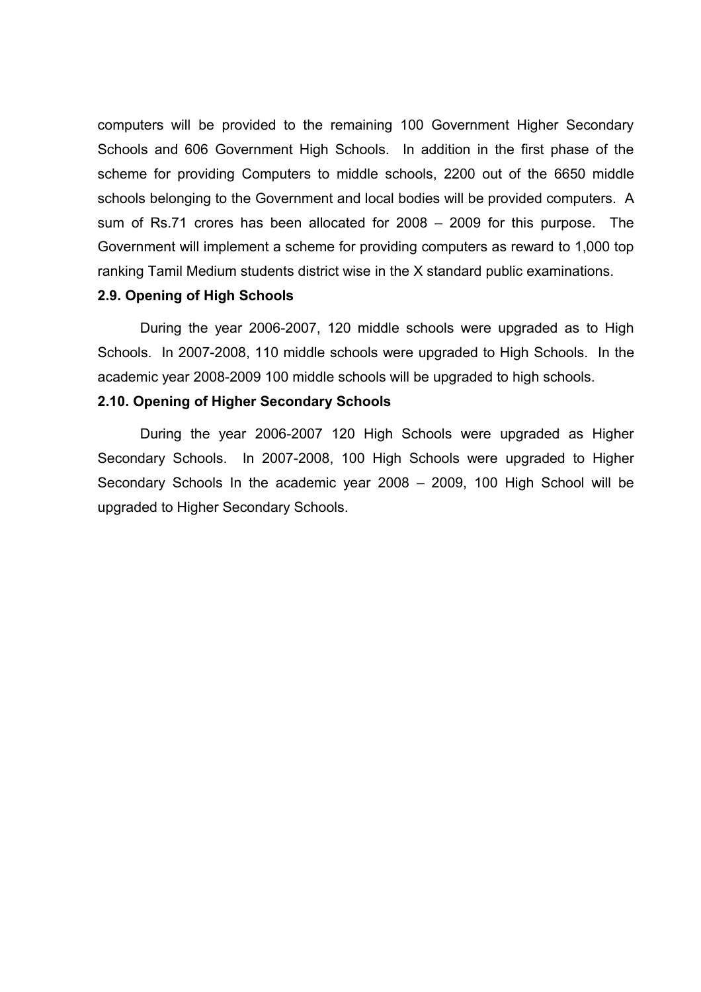computers will be provided to the remaining 100 Government Higher Secondary Schools and 606 Government High Schools. In addition in the first phase of the scheme for providing Computers to middle schools, 2200 out of the 6650 middle schools belonging to the Government and local bodies will be provided computers. A sum of Rs.71 crores has been allocated for 2008 – 2009 for this purpose. The Government will implement a scheme for providing computers as reward to 1,000 top ranking Tamil Medium students district wise in the X standard public examinations.

### **2.9. Opening of High Schools**

During the year 2006-2007, 120 middle schools were upgraded as to High Schools. In 2007-2008, 110 middle schools were upgraded to High Schools. In the academic year 2008-2009 100 middle schools will be upgraded to high schools.

#### **2.10. Opening of Higher Secondary Schools**

During the year 2006-2007 120 High Schools were upgraded as Higher Secondary Schools. In 2007-2008, 100 High Schools were upgraded to Higher Secondary Schools In the academic year 2008 – 2009, 100 High School will be upgraded to Higher Secondary Schools.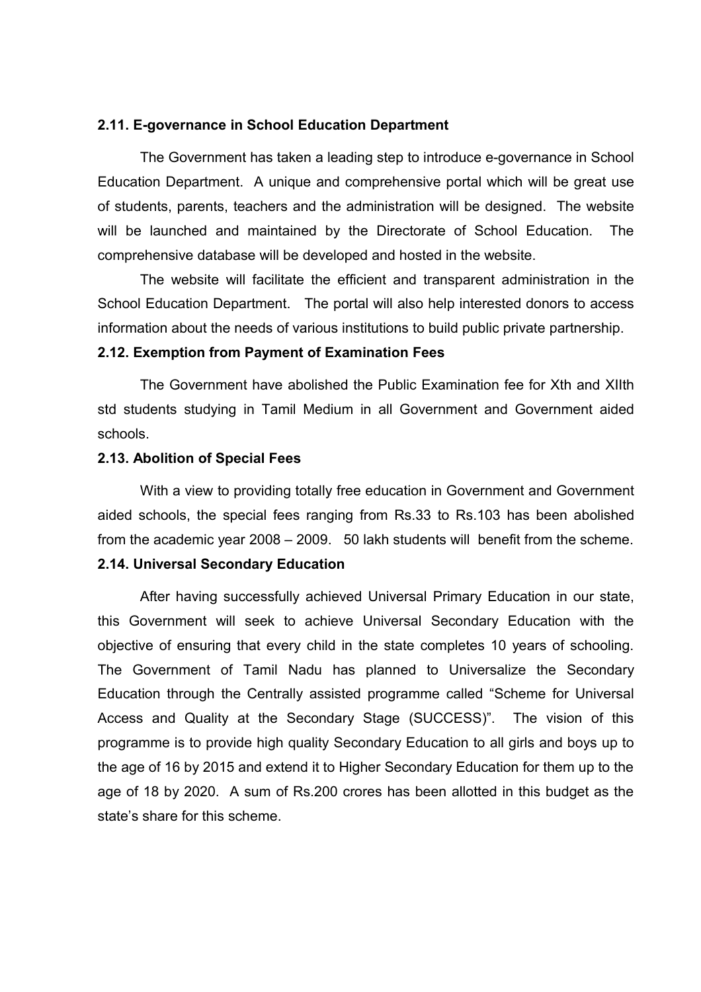#### **2.11. E-governance in School Education Department**

The Government has taken a leading step to introduce e-governance in School Education Department. A unique and comprehensive portal which will be great use of students, parents, teachers and the administration will be designed. The website will be launched and maintained by the Directorate of School Education. The comprehensive database will be developed and hosted in the website.

The website will facilitate the efficient and transparent administration in the School Education Department. The portal will also help interested donors to access information about the needs of various institutions to build public private partnership.

#### **2.12. Exemption from Payment of Examination Fees**

The Government have abolished the Public Examination fee for Xth and XIIth std students studying in Tamil Medium in all Government and Government aided schools.

#### **2.13. Abolition of Special Fees**

With a view to providing totally free education in Government and Government aided schools, the special fees ranging from Rs.33 to Rs.103 has been abolished from the academic year 2008 – 2009. 50 lakh students will benefit from the scheme.

### **2.14. Universal Secondary Education**

After having successfully achieved Universal Primary Education in our state, this Government will seek to achieve Universal Secondary Education with the objective of ensuring that every child in the state completes 10 years of schooling. The Government of Tamil Nadu has planned to Universalize the Secondary Education through the Centrally assisted programme called "Scheme for Universal Access and Quality at the Secondary Stage (SUCCESS)". The vision of this programme is to provide high quality Secondary Education to all girls and boys up to the age of 16 by 2015 and extend it to Higher Secondary Education for them up to the age of 18 by 2020. A sum of Rs.200 crores has been allotted in this budget as the state's share for this scheme.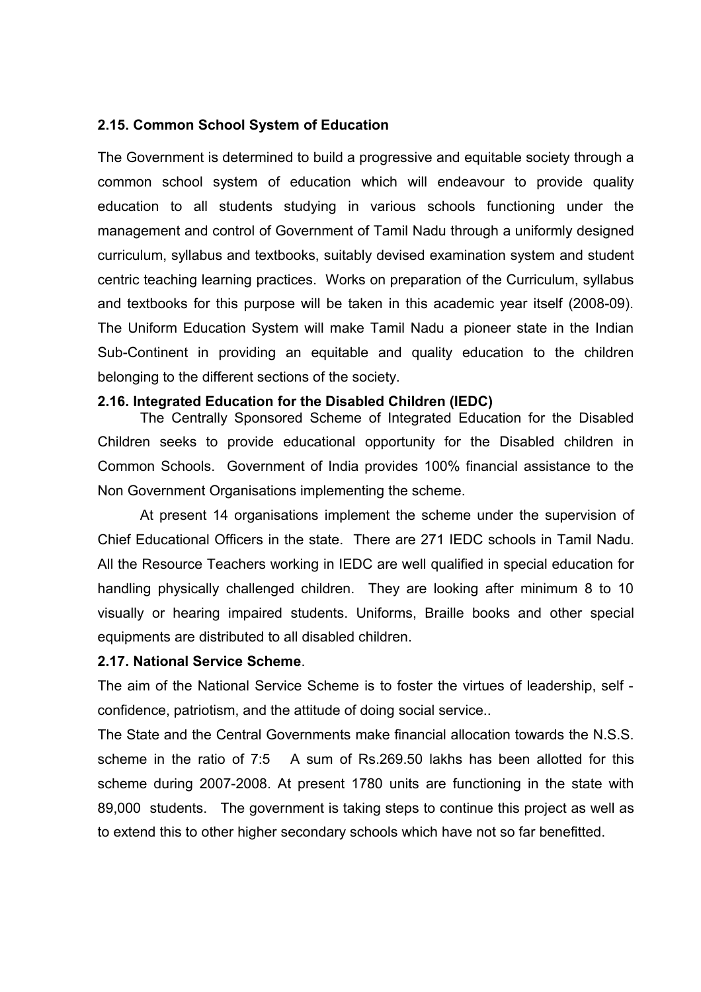### **2.15. Common School System of Education**

The Government is determined to build a progressive and equitable society through a common school system of education which will endeavour to provide quality education to all students studying in various schools functioning under the management and control of Government of Tamil Nadu through a uniformly designed curriculum, syllabus and textbooks, suitably devised examination system and student centric teaching learning practices. Works on preparation of the Curriculum, syllabus and textbooks for this purpose will be taken in this academic year itself (2008-09). The Uniform Education System will make Tamil Nadu a pioneer state in the Indian Sub-Continent in providing an equitable and quality education to the children belonging to the different sections of the society.

### **2.16. Integrated Education for the Disabled Children (IEDC)**

The Centrally Sponsored Scheme of Integrated Education for the Disabled Children seeks to provide educational opportunity for the Disabled children in Common Schools. Government of India provides 100% financial assistance to the Non Government Organisations implementing the scheme.

At present 14 organisations implement the scheme under the supervision of Chief Educational Officers in the state. There are 271 IEDC schools in Tamil Nadu. All the Resource Teachers working in IEDC are well qualified in special education for handling physically challenged children. They are looking after minimum 8 to 10 visually or hearing impaired students. Uniforms, Braille books and other special equipments are distributed to all disabled children.

#### **2.17. National Service Scheme**.

The aim of the National Service Scheme is to foster the virtues of leadership, self confidence, patriotism, and the attitude of doing social service..

The State and the Central Governments make financial allocation towards the N.S.S. scheme in the ratio of 7:5 A sum of Rs.269.50 lakhs has been allotted for this scheme during 2007-2008. At present 1780 units are functioning in the state with 89,000 students. The government is taking steps to continue this project as well as to extend this to other higher secondary schools which have not so far benefitted.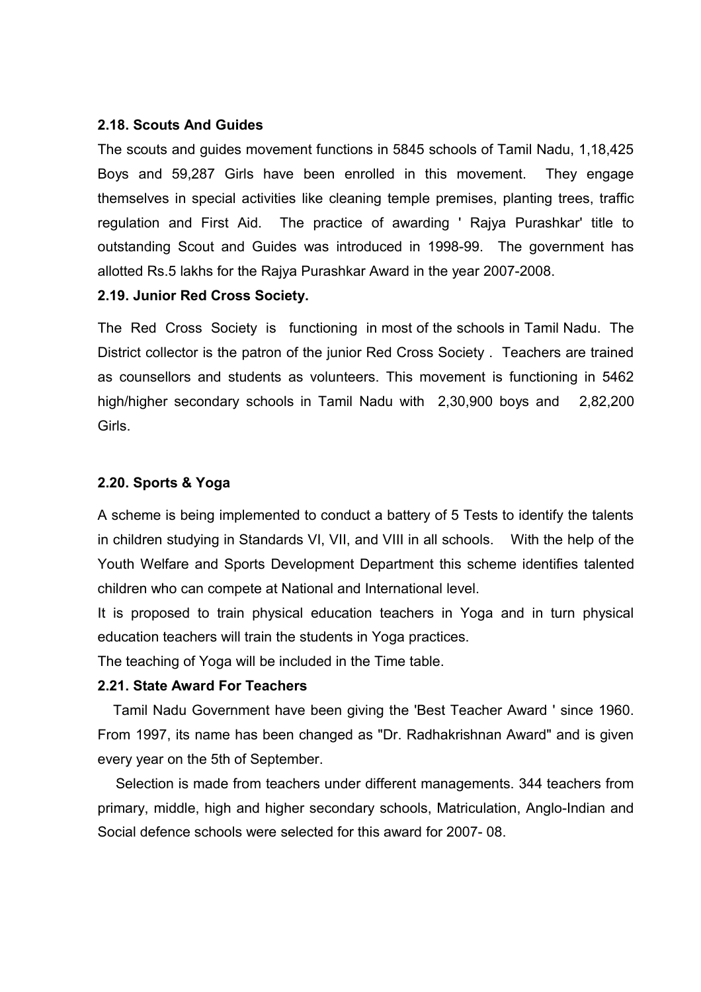### **2.18. Scouts And Guides**

The scouts and guides movement functions in 5845 schools of Tamil Nadu, 1,18,425 Boys and 59,287 Girls have been enrolled in this movement. They engage themselves in special activities like cleaning temple premises, planting trees, traffic regulation and First Aid. The practice of awarding ' Rajya Purashkar' title to outstanding Scout and Guides was introduced in 1998-99. The government has allotted Rs.5 lakhs for the Rajya Purashkar Award in the year 2007-2008.

### **2.19. Junior Red Cross Society.**

The Red Cross Society is functioning in most of the schools in Tamil Nadu. The District collector is the patron of the junior Red Cross Society . Teachers are trained as counsellors and students as volunteers. This movement is functioning in 5462 high/higher secondary schools in Tamil Nadu with 2,30,900 boys and 2,82,200 Girls.

### **2.20. Sports & Yoga**

A scheme is being implemented to conduct a battery of 5 Tests to identify the talents in children studying in Standards VI, VII, and VIII in all schools. With the help of the Youth Welfare and Sports Development Department this scheme identifies talented children who can compete at National and International level.

It is proposed to train physical education teachers in Yoga and in turn physical education teachers will train the students in Yoga practices.

The teaching of Yoga will be included in the Time table.

### **2.21. State Award For Teachers**

 Tamil Nadu Government have been giving the 'Best Teacher Award ' since 1960. From 1997, its name has been changed as "Dr. Radhakrishnan Award" and is given every year on the 5th of September.

 Selection is made from teachers under different managements. 344 teachers from primary, middle, high and higher secondary schools, Matriculation, Anglo-Indian and Social defence schools were selected for this award for 2007- 08.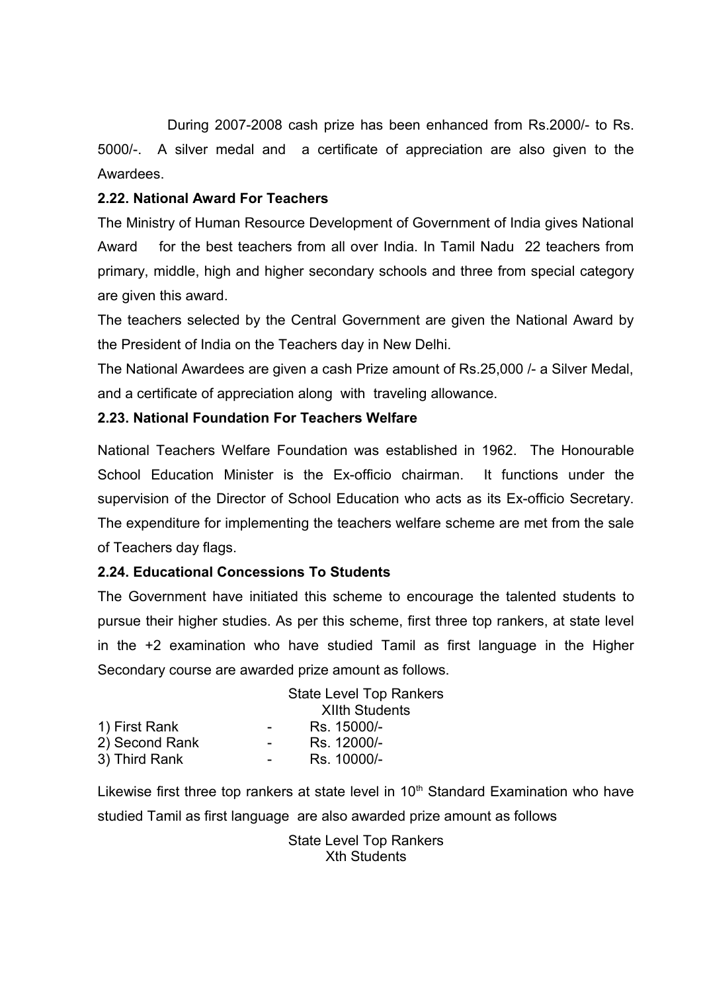During 2007-2008 cash prize has been enhanced from Rs.2000/- to Rs. 5000/-. A silver medal and a certificate of appreciation are also given to the Awardees.

### **2.22. National Award For Teachers**

The Ministry of Human Resource Development of Government of India gives National Award for the best teachers from all over India. In Tamil Nadu 22 teachers from primary, middle, high and higher secondary schools and three from special category are given this award.

The teachers selected by the Central Government are given the National Award by the President of India on the Teachers day in New Delhi.

The National Awardees are given a cash Prize amount of Rs.25,000 /- a Silver Medal, and a certificate of appreciation along with traveling allowance.

### **2.23. National Foundation For Teachers Welfare**

National Teachers Welfare Foundation was established in 1962. The Honourable School Education Minister is the Ex-officio chairman. It functions under the supervision of the Director of School Education who acts as its Ex-officio Secretary. The expenditure for implementing the teachers welfare scheme are met from the sale of Teachers day flags.

### **2.24. Educational Concessions To Students**

The Government have initiated this scheme to encourage the talented students to pursue their higher studies. As per this scheme, first three top rankers, at state level in the +2 examination who have studied Tamil as first language in the Higher Secondary course are awarded prize amount as follows.

|                |                          | <b>State Level Top Rankers</b> |
|----------------|--------------------------|--------------------------------|
|                |                          | <b>XIIth Students</b>          |
| 1) First Rank  | $\sim$                   | Rs. 15000/-                    |
| 2) Second Rank | $\overline{\phantom{0}}$ | Rs. 12000/-                    |
| 3) Third Rank  | $\sim$                   | Rs. 10000/-                    |
|                |                          |                                |

Likewise first three top rankers at state level in  $10<sup>th</sup>$  Standard Examination who have studied Tamil as first language are also awarded prize amount as follows

> State Level Top Rankers Xth Students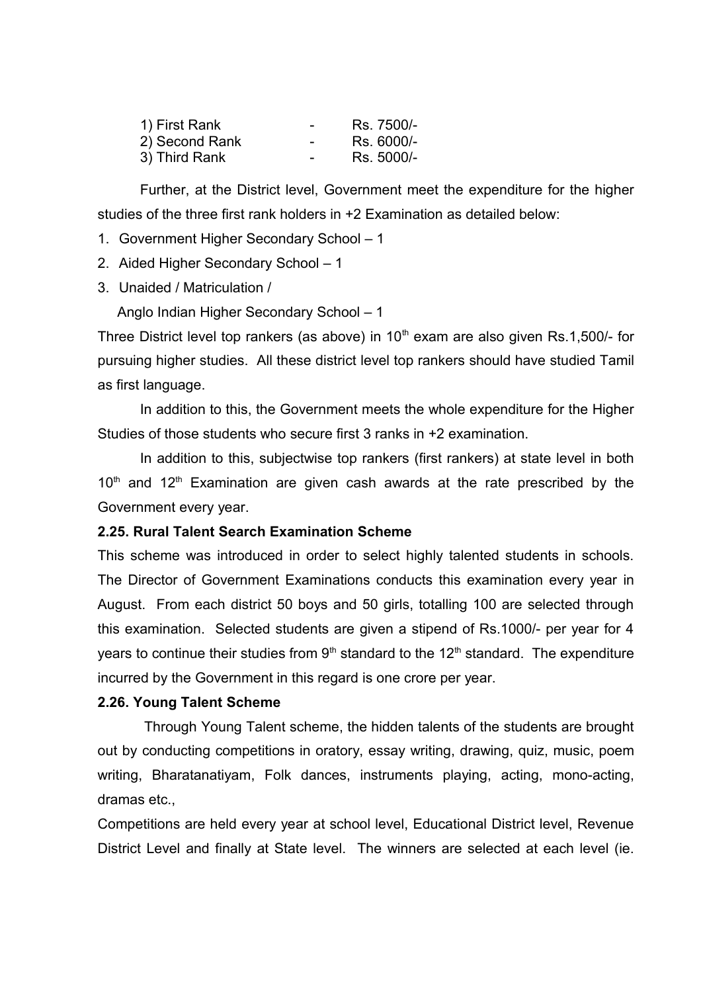| 1) First Rank  | - | Rs. 7500/- |
|----------------|---|------------|
| 2) Second Rank | - | Rs. 6000/- |
| 3) Third Rank  | - | Rs. 5000/- |

Further, at the District level, Government meet the expenditure for the higher studies of the three first rank holders in +2 Examination as detailed below:

- 1. Government Higher Secondary School 1
- 2. Aided Higher Secondary School 1
- 3. Unaided / Matriculation /

Anglo Indian Higher Secondary School – 1

Three District level top rankers (as above) in  $10<sup>th</sup>$  exam are also given Rs.1,500/- for pursuing higher studies. All these district level top rankers should have studied Tamil as first language.

In addition to this, the Government meets the whole expenditure for the Higher Studies of those students who secure first 3 ranks in +2 examination.

In addition to this, subjectwise top rankers (first rankers) at state level in both  $10<sup>th</sup>$  and  $12<sup>th</sup>$  Examination are given cash awards at the rate prescribed by the Government every year.

### **2.25. Rural Talent Search Examination Scheme**

This scheme was introduced in order to select highly talented students in schools. The Director of Government Examinations conducts this examination every year in August. From each district 50 boys and 50 girls, totalling 100 are selected through this examination. Selected students are given a stipend of Rs.1000/- per year for 4 years to continue their studies from  $9<sup>th</sup>$  standard to the 12<sup>th</sup> standard. The expenditure incurred by the Government in this regard is one crore per year.

### **2.26. Young Talent Scheme**

 Through Young Talent scheme, the hidden talents of the students are brought out by conducting competitions in oratory, essay writing, drawing, quiz, music, poem writing, Bharatanatiyam, Folk dances, instruments playing, acting, mono-acting, dramas etc.,

Competitions are held every year at school level, Educational District level, Revenue District Level and finally at State level. The winners are selected at each level (ie.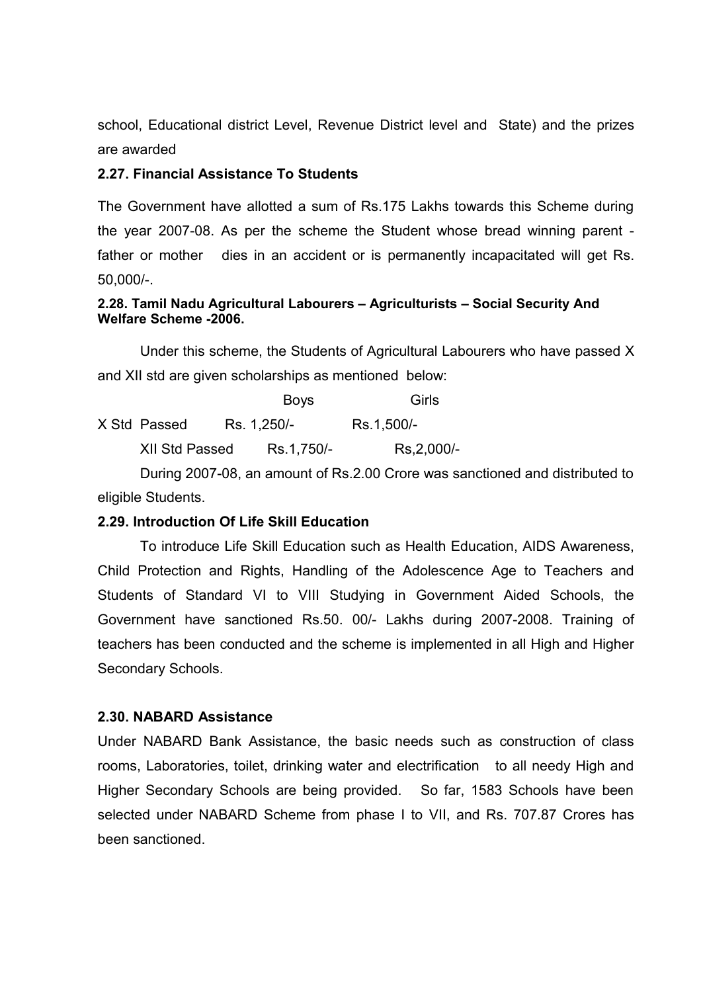school, Educational district Level, Revenue District level and State) and the prizes are awarded

### **2.27. Financial Assistance To Students**

The Government have allotted a sum of Rs.175 Lakhs towards this Scheme during the year 2007-08. As per the scheme the Student whose bread winning parent father or mother dies in an accident or is permanently incapacitated will get Rs. 50,000/-.

### **2.28. Tamil Nadu Agricultural Labourers – Agriculturists – Social Security And Welfare Scheme -2006.**

Under this scheme, the Students of Agricultural Labourers who have passed X and XII std are given scholarships as mentioned below:

|                       | <b>Boys</b> | Girls       |
|-----------------------|-------------|-------------|
| X Std Passed          | Rs. 1,250/- | Rs.1,500/-  |
| <b>XII Std Passed</b> | Rs.1,750/-  | Rs, 2,000/- |

During 2007-08, an amount of Rs.2.00 Crore was sanctioned and distributed to eligible Students.

### **2.29. Introduction Of Life Skill Education**

To introduce Life Skill Education such as Health Education, AIDS Awareness, Child Protection and Rights, Handling of the Adolescence Age to Teachers and Students of Standard VI to VIII Studying in Government Aided Schools, the Government have sanctioned Rs.50. 00/- Lakhs during 2007-2008. Training of teachers has been conducted and the scheme is implemented in all High and Higher Secondary Schools.

### **2.30. NABARD Assistance**

Under NABARD Bank Assistance, the basic needs such as construction of class rooms, Laboratories, toilet, drinking water and electrification to all needy High and Higher Secondary Schools are being provided. So far, 1583 Schools have been selected under NABARD Scheme from phase I to VII, and Rs. 707.87 Crores has been sanctioned.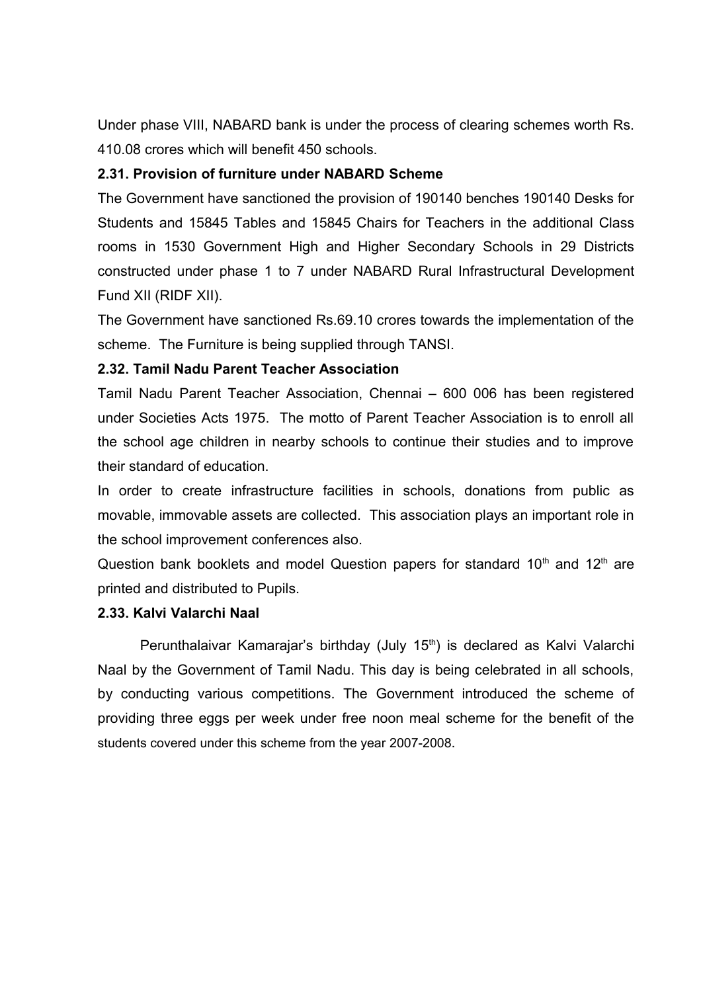Under phase VIII, NABARD bank is under the process of clearing schemes worth Rs. 410.08 crores which will benefit 450 schools.

### **2.31. Provision of furniture under NABARD Scheme**

The Government have sanctioned the provision of 190140 benches 190140 Desks for Students and 15845 Tables and 15845 Chairs for Teachers in the additional Class rooms in 1530 Government High and Higher Secondary Schools in 29 Districts constructed under phase 1 to 7 under NABARD Rural Infrastructural Development Fund XII (RIDF XII).

The Government have sanctioned Rs.69.10 crores towards the implementation of the scheme. The Furniture is being supplied through TANSI.

### **2.32. Tamil Nadu Parent Teacher Association**

Tamil Nadu Parent Teacher Association, Chennai – 600 006 has been registered under Societies Acts 1975. The motto of Parent Teacher Association is to enroll all the school age children in nearby schools to continue their studies and to improve their standard of education.

In order to create infrastructure facilities in schools, donations from public as movable, immovable assets are collected. This association plays an important role in the school improvement conferences also.

Question bank booklets and model Question papers for standard  $10<sup>th</sup>$  and  $12<sup>th</sup>$  are printed and distributed to Pupils.

### **2.33. Kalvi Valarchi Naal**

Perunthalaivar Kamarajar's birthday (July 15<sup>th</sup>) is declared as Kalvi Valarchi Naal by the Government of Tamil Nadu. This day is being celebrated in all schools, by conducting various competitions. The Government introduced the scheme of providing three eggs per week under free noon meal scheme for the benefit of the students covered under this scheme from the year 2007-2008.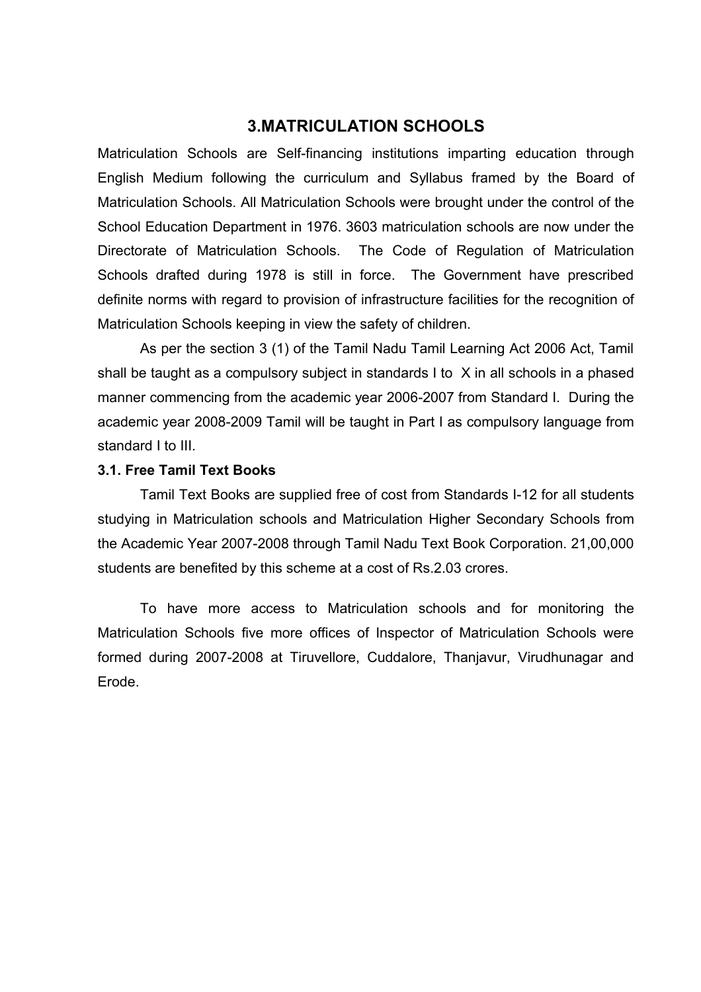### <span id="page-29-0"></span>**3.MATRICULATION SCHOOLS**

Matriculation Schools are Self-financing institutions imparting education through English Medium following the curriculum and Syllabus framed by the Board of Matriculation Schools. All Matriculation Schools were brought under the control of the School Education Department in 1976. 3603 matriculation schools are now under the Directorate of Matriculation Schools. The Code of Regulation of Matriculation Schools drafted during 1978 is still in force. The Government have prescribed definite norms with regard to provision of infrastructure facilities for the recognition of Matriculation Schools keeping in view the safety of children.

As per the section 3 (1) of the Tamil Nadu Tamil Learning Act 2006 Act, Tamil shall be taught as a compulsory subject in standards I to X in all schools in a phased manner commencing from the academic year 2006-2007 from Standard I. During the academic year 2008-2009 Tamil will be taught in Part I as compulsory language from standard I to III.

### **3.1. Free Tamil Text Books**

Tamil Text Books are supplied free of cost from Standards I-12 for all students studying in Matriculation schools and Matriculation Higher Secondary Schools from the Academic Year 2007-2008 through Tamil Nadu Text Book Corporation. 21,00,000 students are benefited by this scheme at a cost of Rs.2.03 crores.

 To have more access to Matriculation schools and for monitoring the Matriculation Schools five more offices of Inspector of Matriculation Schools were formed during 2007-2008 at Tiruvellore, Cuddalore, Thanjavur, Virudhunagar and Erode.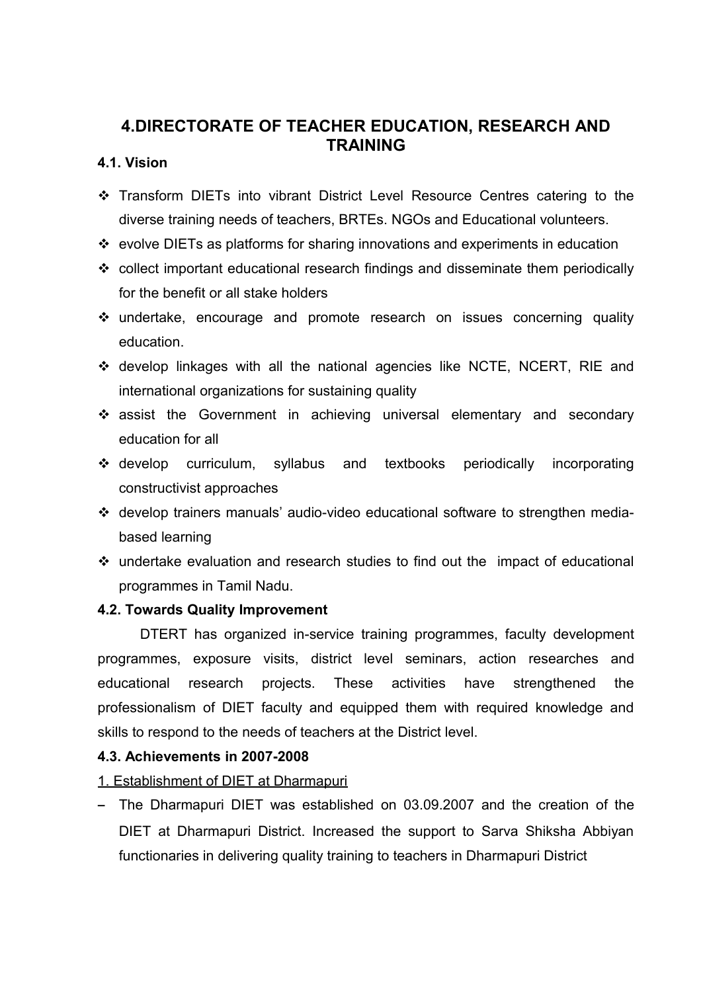## <span id="page-30-0"></span>**4.DIRECTORATE OF TEACHER EDUCATION, RESEARCH AND TRAINING**

### **4.1. Vision**

- Transform DIETs into vibrant District Level Resource Centres catering to the diverse training needs of teachers, BRTEs. NGOs and Educational volunteers.
- $\div$  evolve DIETs as platforms for sharing innovations and experiments in education
- collect important educational research findings and disseminate them periodically for the benefit or all stake holders
- undertake, encourage and promote research on issues concerning quality education.
- develop linkages with all the national agencies like NCTE, NCERT, RIE and international organizations for sustaining quality
- \* assist the Government in achieving universal elementary and secondary education for all
- develop curriculum, syllabus and textbooks periodically incorporating constructivist approaches
- develop trainers manuals' audio-video educational software to strengthen mediabased learning
- undertake evaluation and research studies to find out the impact of educational programmes in Tamil Nadu.

### **4.2. Towards Quality Improvement**

DTERT has organized in-service training programmes, faculty development programmes, exposure visits, district level seminars, action researches and educational research projects. These activities have strengthened the professionalism of DIET faculty and equipped them with required knowledge and skills to respond to the needs of teachers at the District level.

### **4.3. Achievements in 2007-2008**

- 1. Establishment of DIET at Dharmapuri
- The Dharmapuri DIET was established on 03.09.2007 and the creation of the DIET at Dharmapuri District. Increased the support to Sarva Shiksha Abbiyan functionaries in delivering quality training to teachers in Dharmapuri District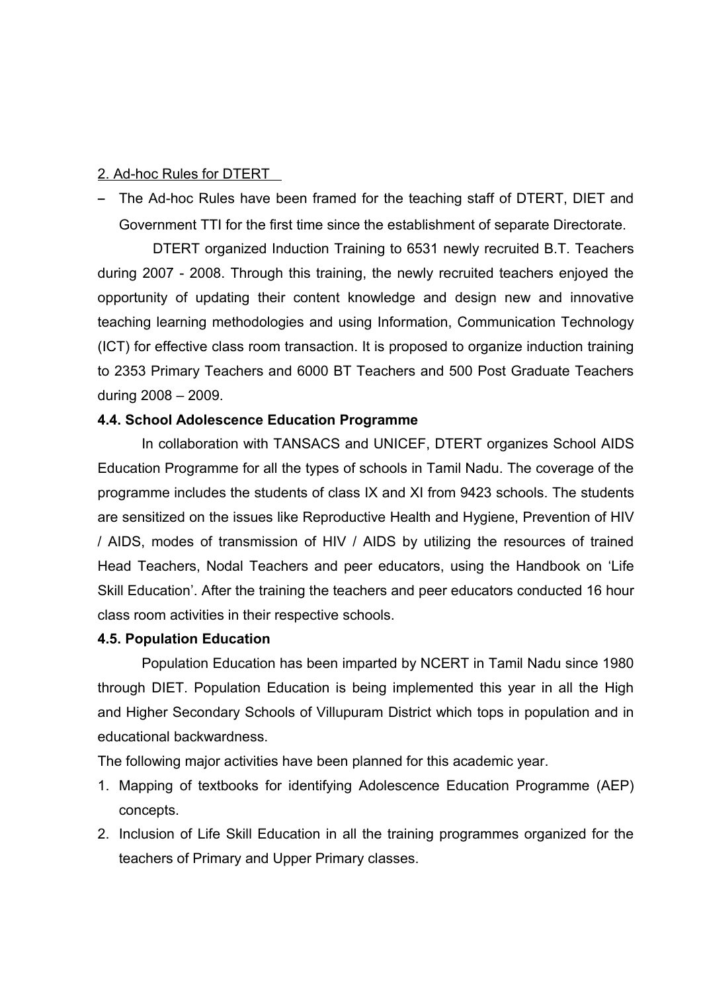### 2. Ad-hoc Rules for DTERT

- The Ad-hoc Rules have been framed for the teaching staff of DTERT, DIET and Government TTI for the first time since the establishment of separate Directorate.

DTERT organized Induction Training to 6531 newly recruited B.T. Teachers during 2007 - 2008. Through this training, the newly recruited teachers enjoyed the opportunity of updating their content knowledge and design new and innovative teaching learning methodologies and using Information, Communication Technology (ICT) for effective class room transaction. It is proposed to organize induction training to 2353 Primary Teachers and 6000 BT Teachers and 500 Post Graduate Teachers during 2008 – 2009.

### **4.4. School Adolescence Education Programme**

In collaboration with TANSACS and UNICEF, DTERT organizes School AIDS Education Programme for all the types of schools in Tamil Nadu. The coverage of the programme includes the students of class IX and XI from 9423 schools. The students are sensitized on the issues like Reproductive Health and Hygiene, Prevention of HIV / AIDS, modes of transmission of HIV / AIDS by utilizing the resources of trained Head Teachers, Nodal Teachers and peer educators, using the Handbook on 'Life Skill Education'. After the training the teachers and peer educators conducted 16 hour class room activities in their respective schools.

### **4.5. Population Education**

Population Education has been imparted by NCERT in Tamil Nadu since 1980 through DIET. Population Education is being implemented this year in all the High and Higher Secondary Schools of Villupuram District which tops in population and in educational backwardness.

The following major activities have been planned for this academic year.

- 1. Mapping of textbooks for identifying Adolescence Education Programme (AEP) concepts.
- 2. Inclusion of Life Skill Education in all the training programmes organized for the teachers of Primary and Upper Primary classes.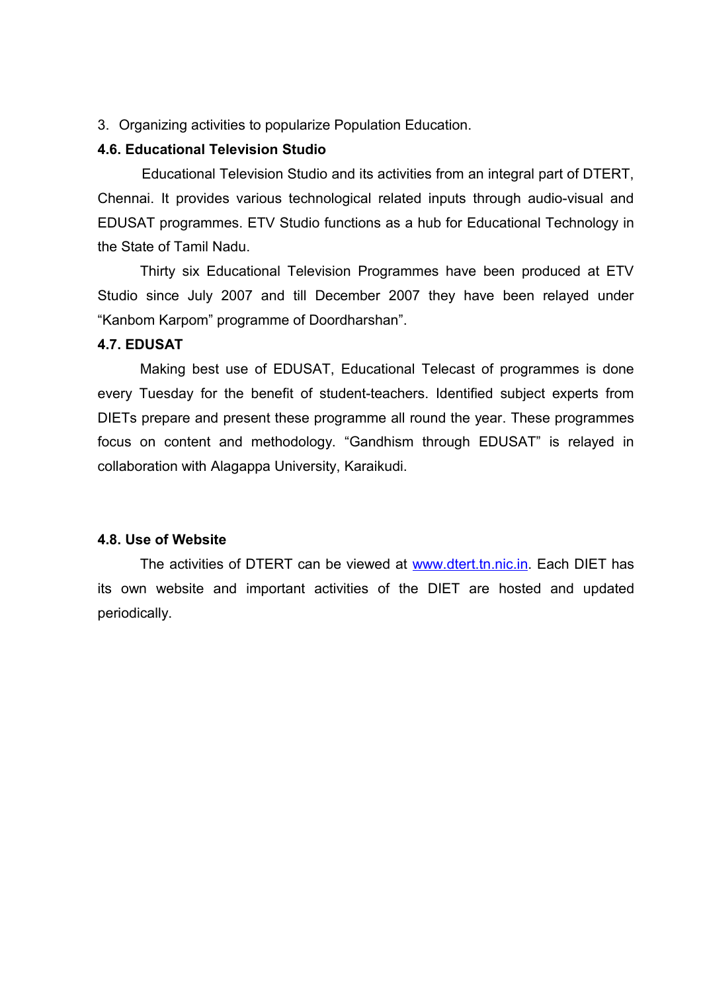3. Organizing activities to popularize Population Education.

### **4.6. Educational Television Studio**

Educational Television Studio and its activities from an integral part of DTERT, Chennai. It provides various technological related inputs through audio-visual and EDUSAT programmes. ETV Studio functions as a hub for Educational Technology in the State of Tamil Nadu.

Thirty six Educational Television Programmes have been produced at ETV Studio since July 2007 and till December 2007 they have been relayed under "Kanbom Karpom" programme of Doordharshan".

### **4.7. EDUSAT**

Making best use of EDUSAT, Educational Telecast of programmes is done every Tuesday for the benefit of student-teachers. Identified subject experts from DIETs prepare and present these programme all round the year. These programmes focus on content and methodology. "Gandhism through EDUSAT" is relayed in collaboration with Alagappa University, Karaikudi.

#### **4.8. Use of Website**

The activities of DTERT can be viewed at [www.dtert.tn.nic.in.](http://www.dtert.tn.nic.in/) Each DIET has its own website and important activities of the DIET are hosted and updated periodically.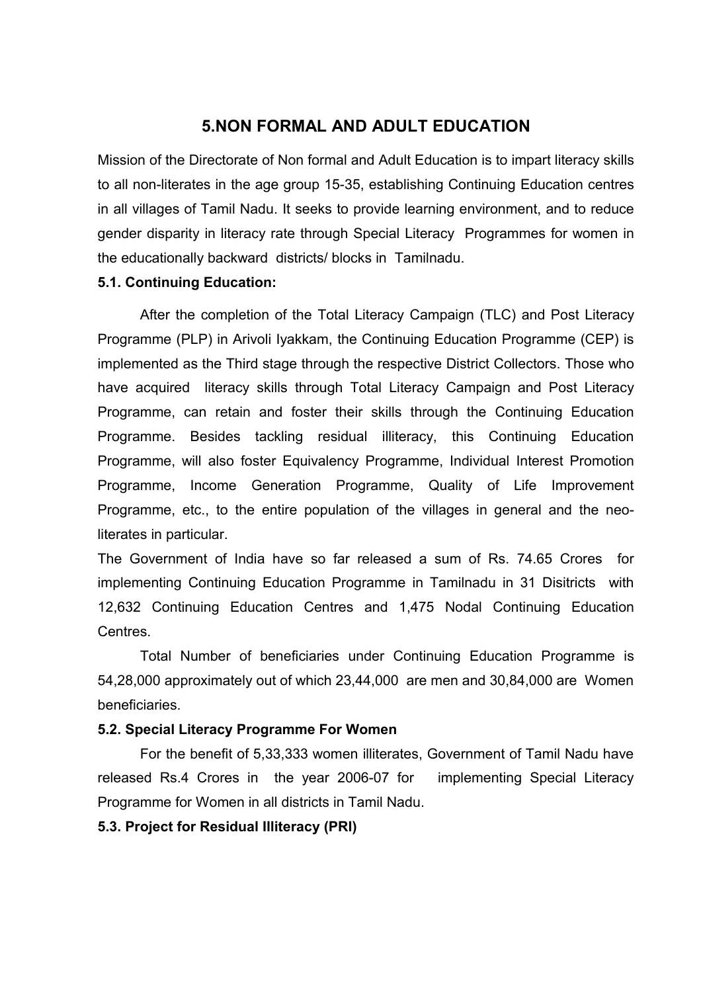### <span id="page-33-0"></span>**5.NON FORMAL AND ADULT EDUCATION**

Mission of the Directorate of Non formal and Adult Education is to impart literacy skills to all non-literates in the age group 15-35, establishing Continuing Education centres in all villages of Tamil Nadu. It seeks to provide learning environment, and to reduce gender disparity in literacy rate through Special Literacy Programmes for women in the educationally backward districts/ blocks in Tamilnadu.

### **5.1. Continuing Education:**

 After the completion of the Total Literacy Campaign (TLC) and Post Literacy Programme (PLP) in Arivoli Iyakkam, the Continuing Education Programme (CEP) is implemented as the Third stage through the respective District Collectors. Those who have acquired literacy skills through Total Literacy Campaign and Post Literacy Programme, can retain and foster their skills through the Continuing Education Programme. Besides tackling residual illiteracy, this Continuing Education Programme, will also foster Equivalency Programme, Individual Interest Promotion Programme, Income Generation Programme, Quality of Life Improvement Programme, etc., to the entire population of the villages in general and the neoliterates in particular.

The Government of India have so far released a sum of Rs. 74.65 Crores for implementing Continuing Education Programme in Tamilnadu in 31 Disitricts with 12,632 Continuing Education Centres and 1,475 Nodal Continuing Education Centres.

Total Number of beneficiaries under Continuing Education Programme is 54,28,000 approximately out of which 23,44,000 are men and 30,84,000 are Women beneficiaries.

### **5.2. Special Literacy Programme For Women**

For the benefit of 5,33,333 women illiterates, Government of Tamil Nadu have released Rs.4 Crores in the year 2006-07 for implementing Special Literacy Programme for Women in all districts in Tamil Nadu.

### **5.3. Project for Residual Illiteracy (PRI)**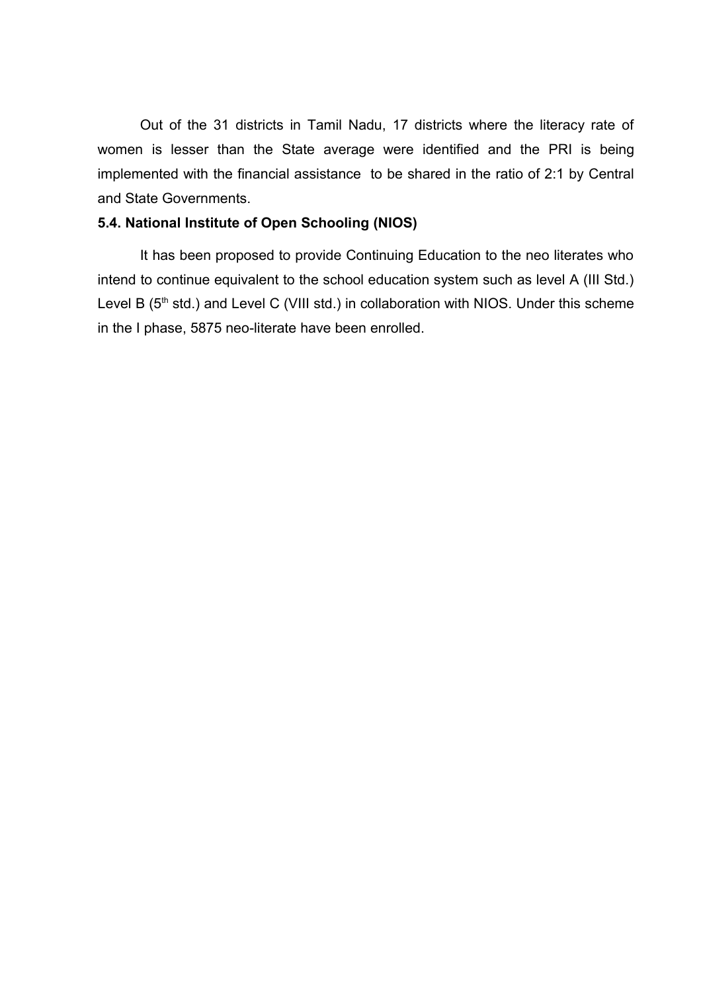Out of the 31 districts in Tamil Nadu, 17 districts where the literacy rate of women is lesser than the State average were identified and the PRI is being implemented with the financial assistance to be shared in the ratio of 2:1 by Central and State Governments.

#### **5.4. National Institute of Open Schooling (NIOS)**

It has been proposed to provide Continuing Education to the neo literates who intend to continue equivalent to the school education system such as level A (III Std.) Level B ( $5<sup>th</sup>$  std.) and Level C (VIII std.) in collaboration with NIOS. Under this scheme in the I phase, 5875 neo-literate have been enrolled.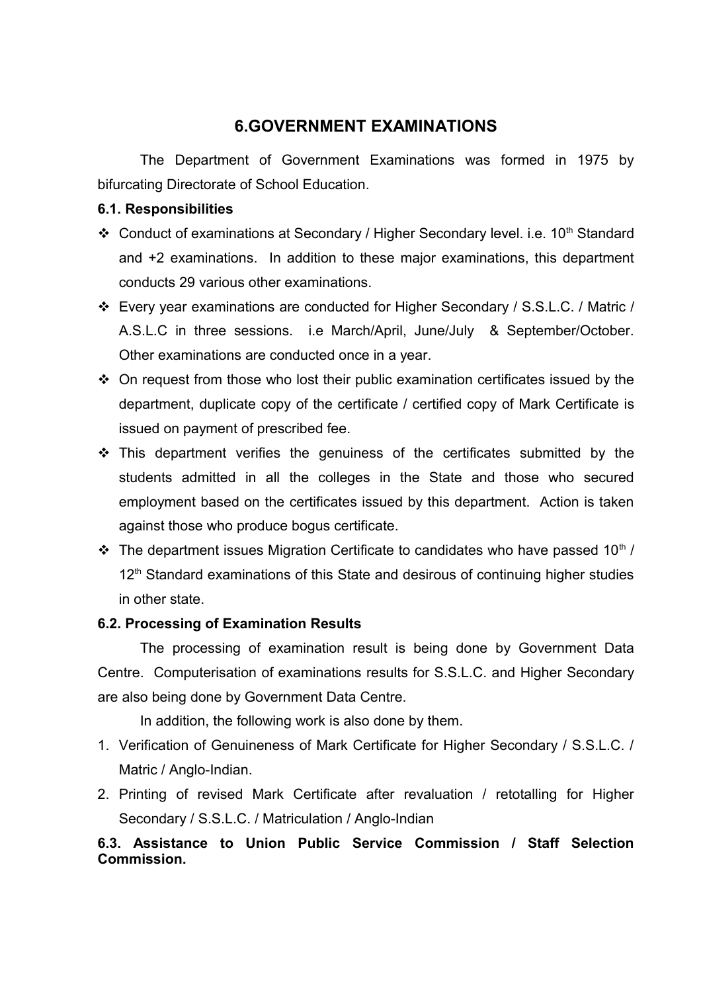## <span id="page-35-0"></span>**6.GOVERNMENT EXAMINATIONS**

The Department of Government Examinations was formed in 1975 by bifurcating Directorate of School Education.

### **6.1. Responsibilities**

- Conduct of examinations at Secondary / Higher Secondary level. i.e. 10<sup>th</sup> Standard and +2 examinations. In addition to these major examinations, this department conducts 29 various other examinations.
- Every year examinations are conducted for Higher Secondary / S.S.L.C. / Matric / A.S.L.C in three sessions. i.e March/April, June/July & September/October. Other examinations are conducted once in a year.
- $\div$  On request from those who lost their public examination certificates issued by the department, duplicate copy of the certificate / certified copy of Mark Certificate is issued on payment of prescribed fee.
- $\cdot$  This department verifies the genuiness of the certificates submitted by the students admitted in all the colleges in the State and those who secured employment based on the certificates issued by this department. Action is taken against those who produce bogus certificate.
- $\cdot$  The department issues Migration Certificate to candidates who have passed 10<sup>th</sup> / 12<sup>th</sup> Standard examinations of this State and desirous of continuing higher studies in other state.

### **6.2. Processing of Examination Results**

The processing of examination result is being done by Government Data Centre. Computerisation of examinations results for S.S.L.C. and Higher Secondary are also being done by Government Data Centre.

In addition, the following work is also done by them.

- 1. Verification of Genuineness of Mark Certificate for Higher Secondary / S.S.L.C. / Matric / Anglo-Indian.
- 2. Printing of revised Mark Certificate after revaluation / retotalling for Higher Secondary / S.S.L.C. / Matriculation / Anglo-Indian

### **6.3. Assistance to Union Public Service Commission / Staff Selection Commission.**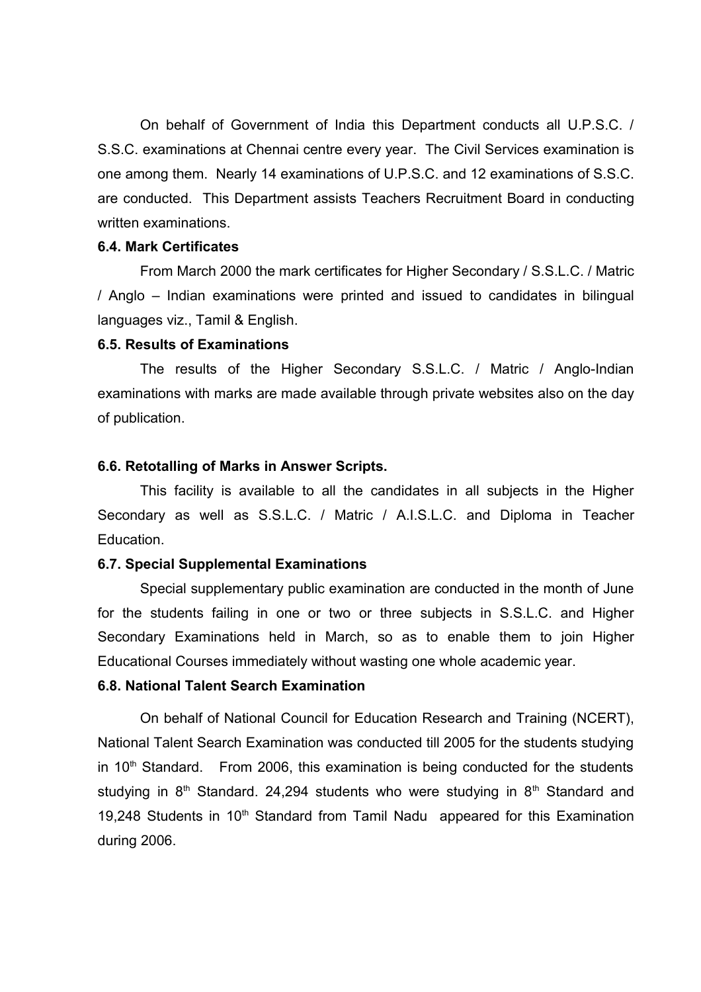On behalf of Government of India this Department conducts all U.P.S.C. / S.S.C. examinations at Chennai centre every year. The Civil Services examination is one among them. Nearly 14 examinations of U.P.S.C. and 12 examinations of S.S.C. are conducted. This Department assists Teachers Recruitment Board in conducting written examinations.

#### **6.4. Mark Certificates**

From March 2000 the mark certificates for Higher Secondary / S.S.L.C. / Matric / Anglo – Indian examinations were printed and issued to candidates in bilingual languages viz., Tamil & English.

#### **6.5. Results of Examinations**

The results of the Higher Secondary S.S.L.C. / Matric / Anglo-Indian examinations with marks are made available through private websites also on the day of publication.

#### **6.6. Retotalling of Marks in Answer Scripts.**

This facility is available to all the candidates in all subjects in the Higher Secondary as well as S.S.L.C. / Matric / A.I.S.L.C. and Diploma in Teacher Education.

### **6.7. Special Supplemental Examinations**

Special supplementary public examination are conducted in the month of June for the students failing in one or two or three subjects in S.S.L.C. and Higher Secondary Examinations held in March, so as to enable them to join Higher Educational Courses immediately without wasting one whole academic year.

### **6.8. National Talent Search Examination**

On behalf of National Council for Education Research and Training (NCERT), National Talent Search Examination was conducted till 2005 for the students studying in  $10<sup>th</sup>$  Standard. From 2006, this examination is being conducted for the students studying in  $8<sup>th</sup>$  Standard. 24,294 students who were studying in  $8<sup>th</sup>$  Standard and 19,248 Students in  $10<sup>th</sup>$  Standard from Tamil Nadu appeared for this Examination during 2006.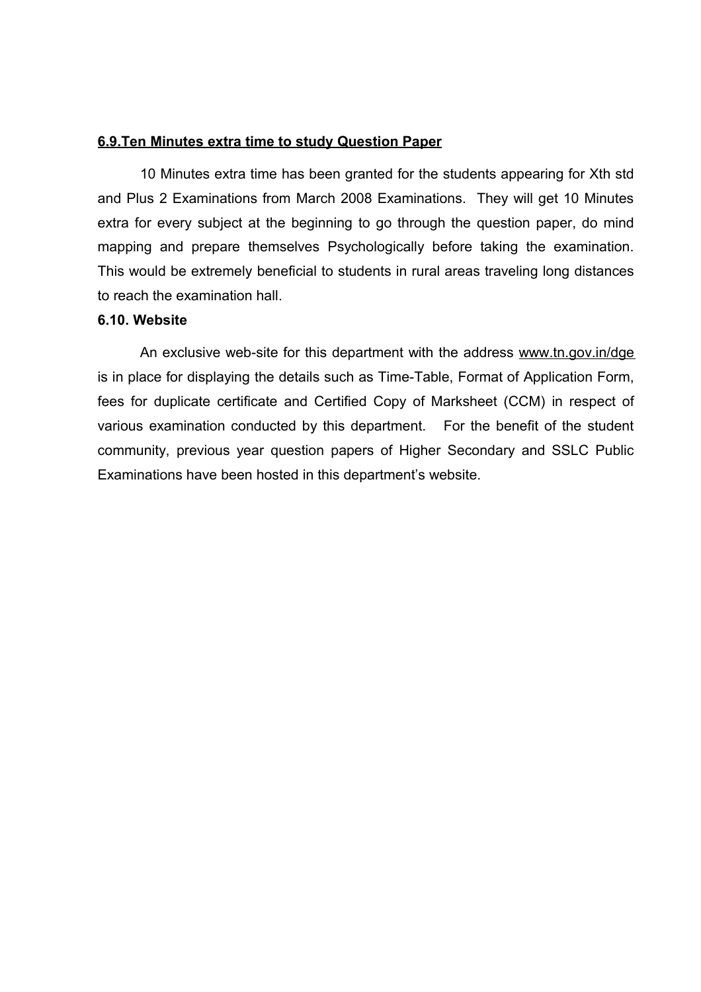### **6.9.Ten Minutes extra time to study Question Paper**

10 Minutes extra time has been granted for the students appearing for Xth std and Plus 2 Examinations from March 2008 Examinations. They will get 10 Minutes extra for every subject at the beginning to go through the question paper, do mind mapping and prepare themselves Psychologically before taking the examination. This would be extremely beneficial to students in rural areas traveling long distances to reach the examination hall

### **6.10. Website**

An exclusive web-site for this department with the address [www.tn.gov.in/dge](http://www.tn.gov.in/dge) is in place for displaying the details such as Time-Table, Format of Application Form, fees for duplicate certificate and Certified Copy of Marksheet (CCM) in respect of various examination conducted by this department. For the benefit of the student community, previous year question papers of Higher Secondary and SSLC Public Examinations have been hosted in this department's website.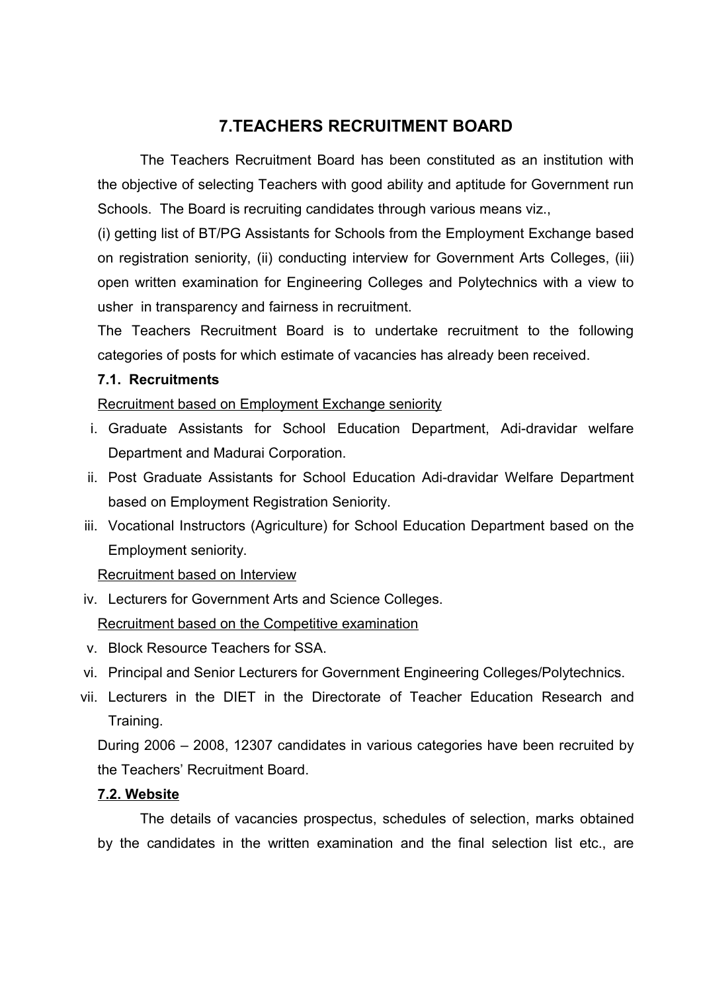## <span id="page-38-0"></span>**7.TEACHERS RECRUITMENT BOARD**

The Teachers Recruitment Board has been constituted as an institution with the objective of selecting Teachers with good ability and aptitude for Government run Schools. The Board is recruiting candidates through various means viz.,

(i) getting list of BT/PG Assistants for Schools from the Employment Exchange based on registration seniority, (ii) conducting interview for Government Arts Colleges, (iii) open written examination for Engineering Colleges and Polytechnics with a view to usher in transparency and fairness in recruitment.

The Teachers Recruitment Board is to undertake recruitment to the following categories of posts for which estimate of vacancies has already been received.

### **7.1. Recruitments**

Recruitment based on Employment Exchange seniority

- i. Graduate Assistants for School Education Department, Adi-dravidar welfare Department and Madurai Corporation.
- ii. Post Graduate Assistants for School Education Adi-dravidar Welfare Department based on Employment Registration Seniority.
- iii. Vocational Instructors (Agriculture) for School Education Department based on the Employment seniority.

Recruitment based on Interview

iv. Lecturers for Government Arts and Science Colleges.

Recruitment based on the Competitive examination

- v. Block Resource Teachers for SSA.
- vi. Principal and Senior Lecturers for Government Engineering Colleges/Polytechnics.
- vii. Lecturers in the DIET in the Directorate of Teacher Education Research and Training.

During 2006 – 2008, 12307 candidates in various categories have been recruited by the Teachers' Recruitment Board.

### **7.2. Website**

The details of vacancies prospectus, schedules of selection, marks obtained by the candidates in the written examination and the final selection list etc., are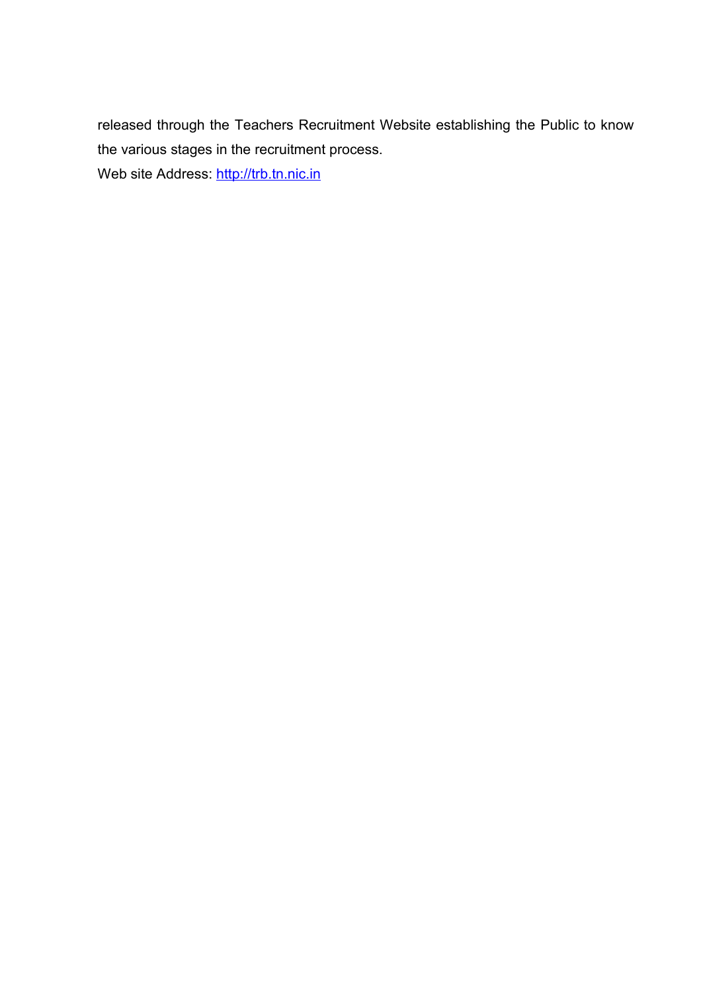released through the Teachers Recruitment Website establishing the Public to know the various stages in the recruitment process. Web site Address: [http://trb.tn.nic.in](http://trb.tn.nic.in/)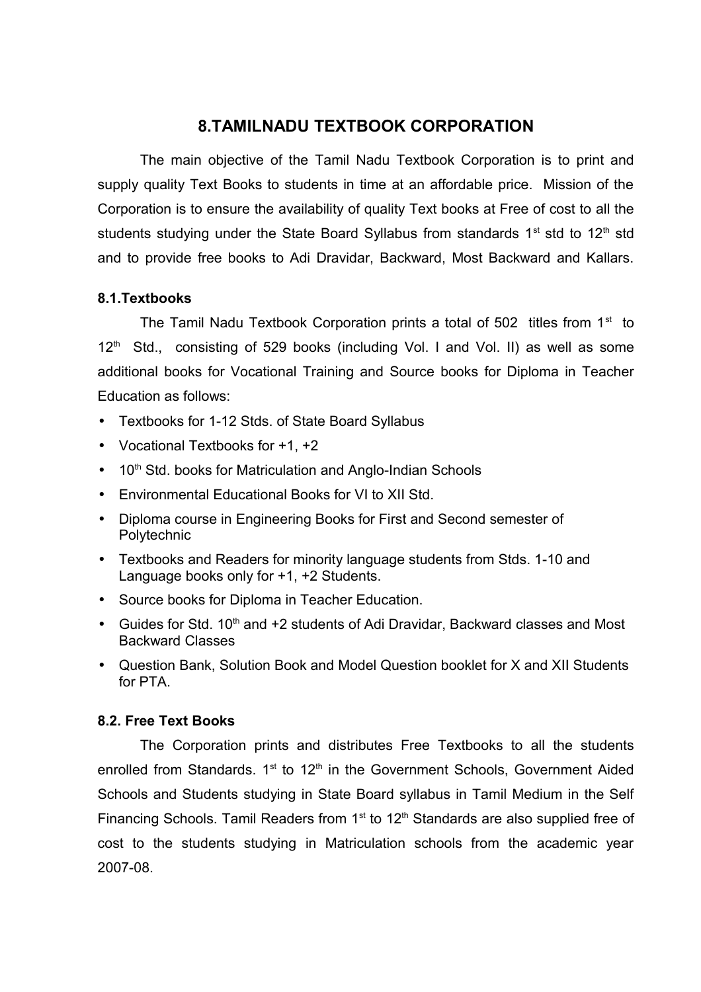## <span id="page-40-0"></span>**8.TAMILNADU TEXTBOOK CORPORATION**

The main objective of the Tamil Nadu Textbook Corporation is to print and supply quality Text Books to students in time at an affordable price. Mission of the Corporation is to ensure the availability of quality Text books at Free of cost to all the students studying under the State Board Syllabus from standards  $1<sup>st</sup>$  std to  $12<sup>th</sup>$  std and to provide free books to Adi Dravidar, Backward, Most Backward and Kallars.

### **8.1.Textbooks**

The Tamil Nadu Textbook Corporation prints a total of 502 titles from  $1<sup>st</sup>$  to  $12<sup>th</sup>$  Std., consisting of 529 books (including Vol. I and Vol. II) as well as some additional books for Vocational Training and Source books for Diploma in Teacher Education as follows:

- Textbooks for 1-12 Stds. of State Board Syllabus
- Vocational Textbooks for +1, +2
- $\bullet$  10<sup>th</sup> Std. books for Matriculation and Anglo-Indian Schools
- Environmental Educational Books for VI to XII Std.
- Diploma course in Engineering Books for First and Second semester of Polytechnic
- Textbooks and Readers for minority language students from Stds. 1-10 and Language books only for +1, +2 Students.
- Source books for Diploma in Teacher Education.
- Guides for Std. 10<sup>th</sup> and +2 students of Adi Dravidar, Backward classes and Most Backward Classes
- Question Bank, Solution Book and Model Question booklet for X and XII Students for PTA.

### **8.2. Free Text Books**

The Corporation prints and distributes Free Textbooks to all the students enrolled from Standards.  $1^{st}$  to  $12^{th}$  in the Government Schools, Government Aided Schools and Students studying in State Board syllabus in Tamil Medium in the Self Financing Schools. Tamil Readers from  $1<sup>st</sup>$  to  $12<sup>th</sup>$  Standards are also supplied free of cost to the students studying in Matriculation schools from the academic year 2007-08.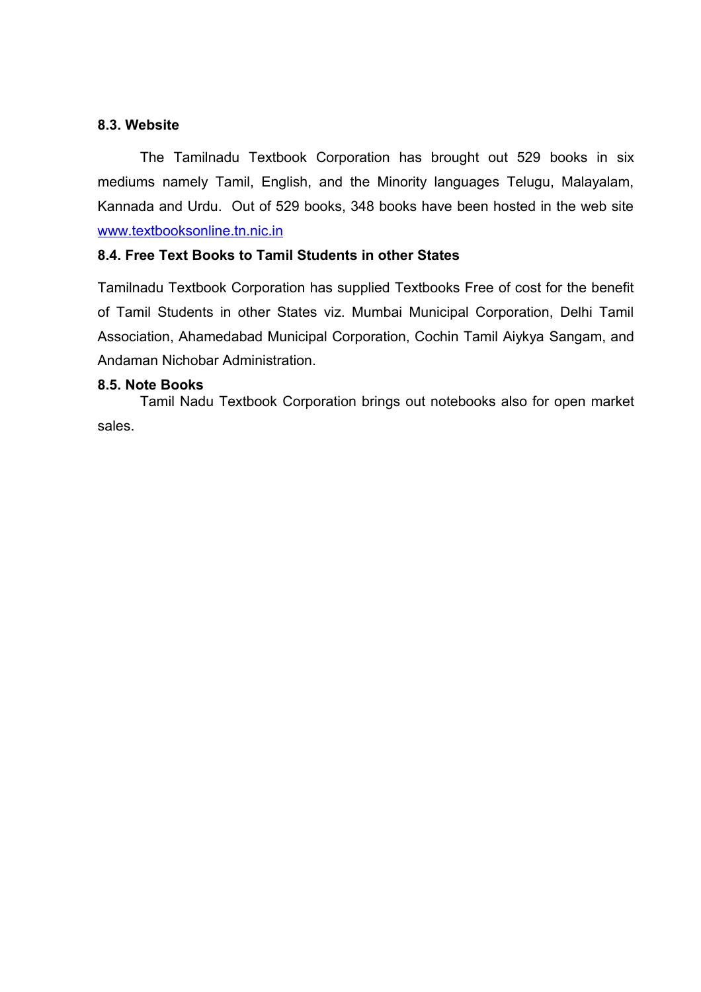### **8.3. Website**

The Tamilnadu Textbook Corporation has brought out 529 books in six mediums namely Tamil, English, and the Minority languages Telugu, Malayalam, Kannada and Urdu. Out of 529 books, 348 books have been hosted in the web site [www.textbooksonline.tn.nic.in](http://www.textbooksonline.tn.nic.in/)

### **8.4. Free Text Books to Tamil Students in other States**

Tamilnadu Textbook Corporation has supplied Textbooks Free of cost for the benefit of Tamil Students in other States viz. Mumbai Municipal Corporation, Delhi Tamil Association, Ahamedabad Municipal Corporation, Cochin Tamil Aiykya Sangam, and Andaman Nichobar Administration.

### **8.5. Note Books**

Tamil Nadu Textbook Corporation brings out notebooks also for open market sales.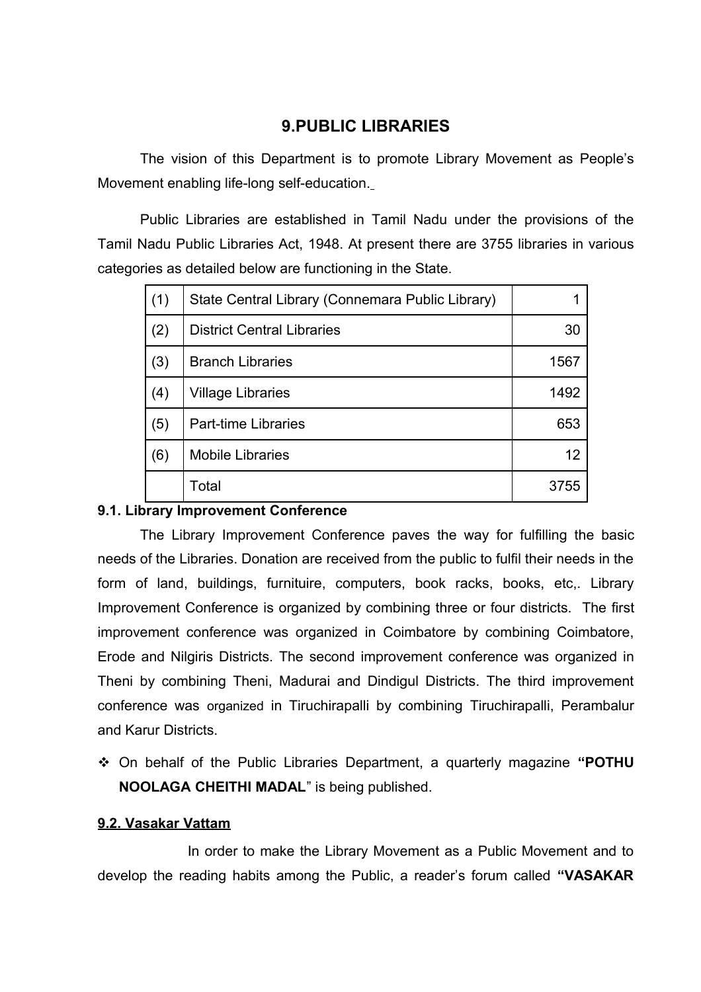## <span id="page-42-0"></span>**9.PUBLIC LIBRARIES**

The vision of this Department is to promote Library Movement as People's Movement enabling life-long self-education.

 Public Libraries are established in Tamil Nadu under the provisions of the Tamil Nadu Public Libraries Act, 1948. At present there are 3755 libraries in various categories as detailed below are functioning in the State.

| (1) | State Central Library (Connemara Public Library) |      |
|-----|--------------------------------------------------|------|
| (2) | <b>District Central Libraries</b>                | 30   |
| (3) | <b>Branch Libraries</b>                          | 1567 |
| (4) | <b>Village Libraries</b>                         | 1492 |
| (5) | <b>Part-time Libraries</b>                       | 653  |
| (6) | <b>Mobile Libraries</b>                          | 12   |
|     | Total                                            | 3755 |

### **9.1. Library Improvement Conference**

The Library Improvement Conference paves the way for fulfilling the basic needs of the Libraries. Donation are received from the public to fulfil their needs in the form of land, buildings, furnituire, computers, book racks, books, etc,. Library Improvement Conference is organized by combining three or four districts. The first improvement conference was organized in Coimbatore by combining Coimbatore, Erode and Nilgiris Districts. The second improvement conference was organized in Theni by combining Theni, Madurai and Dindigul Districts. The third improvement conference was organized in Tiruchirapalli by combining Tiruchirapalli, Perambalur and Karur Districts.

 On behalf of the Public Libraries Department, a quarterly magazine **"POTHU NOOLAGA CHEITHI MADAL**" is being published.

### **9.2. Vasakar Vattam**

 In order to make the Library Movement as a Public Movement and to develop the reading habits among the Public, a reader's forum called **"VASAKAR**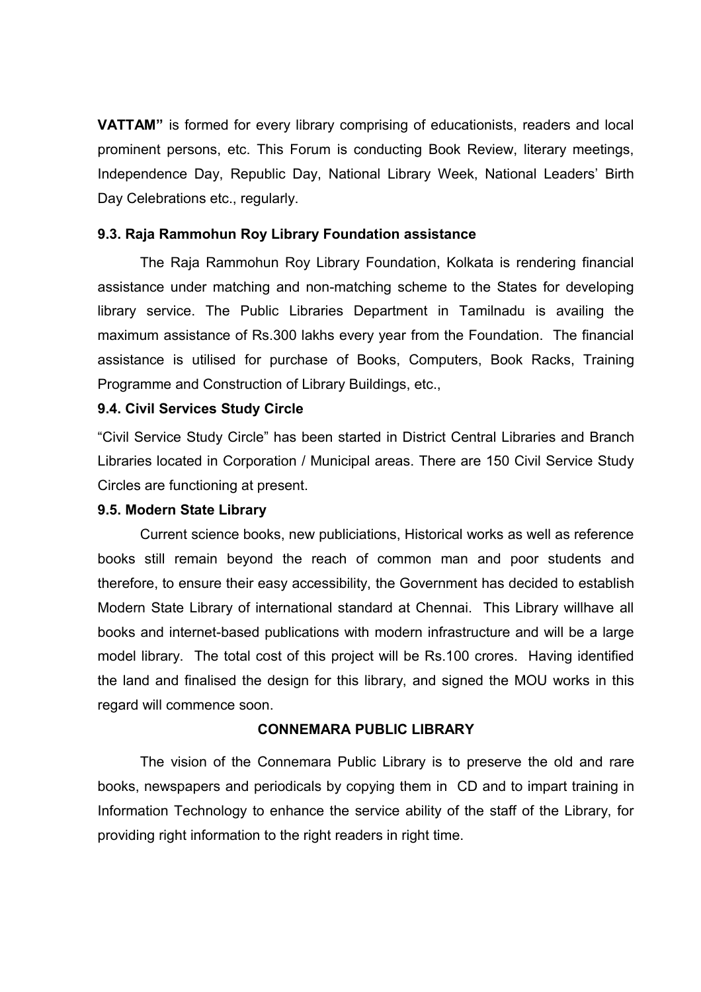**VATTAM"** is formed for every library comprising of educationists, readers and local prominent persons, etc. This Forum is conducting Book Review, literary meetings, Independence Day, Republic Day, National Library Week, National Leaders' Birth Day Celebrations etc., regularly.

### **9.3. Raja Rammohun Roy Library Foundation assistance**

 The Raja Rammohun Roy Library Foundation, Kolkata is rendering financial assistance under matching and non-matching scheme to the States for developing library service. The Public Libraries Department in Tamilnadu is availing the maximum assistance of Rs.300 lakhs every year from the Foundation. The financial assistance is utilised for purchase of Books, Computers, Book Racks, Training Programme and Construction of Library Buildings, etc.,

### **9.4. Civil Services Study Circle**

"Civil Service Study Circle" has been started in District Central Libraries and Branch Libraries located in Corporation / Municipal areas. There are 150 Civil Service Study Circles are functioning at present.

### **9.5. Modern State Library**

Current science books, new publiciations, Historical works as well as reference books still remain beyond the reach of common man and poor students and therefore, to ensure their easy accessibility, the Government has decided to establish Modern State Library of international standard at Chennai. This Library willhave all books and internet-based publications with modern infrastructure and will be a large model library. The total cost of this project will be Rs.100 crores. Having identified the land and finalised the design for this library, and signed the MOU works in this regard will commence soon.

### **CONNEMARA PUBLIC LIBRARY**

The vision of the Connemara Public Library is to preserve the old and rare books, newspapers and periodicals by copying them in CD and to impart training in Information Technology to enhance the service ability of the staff of the Library, for providing right information to the right readers in right time.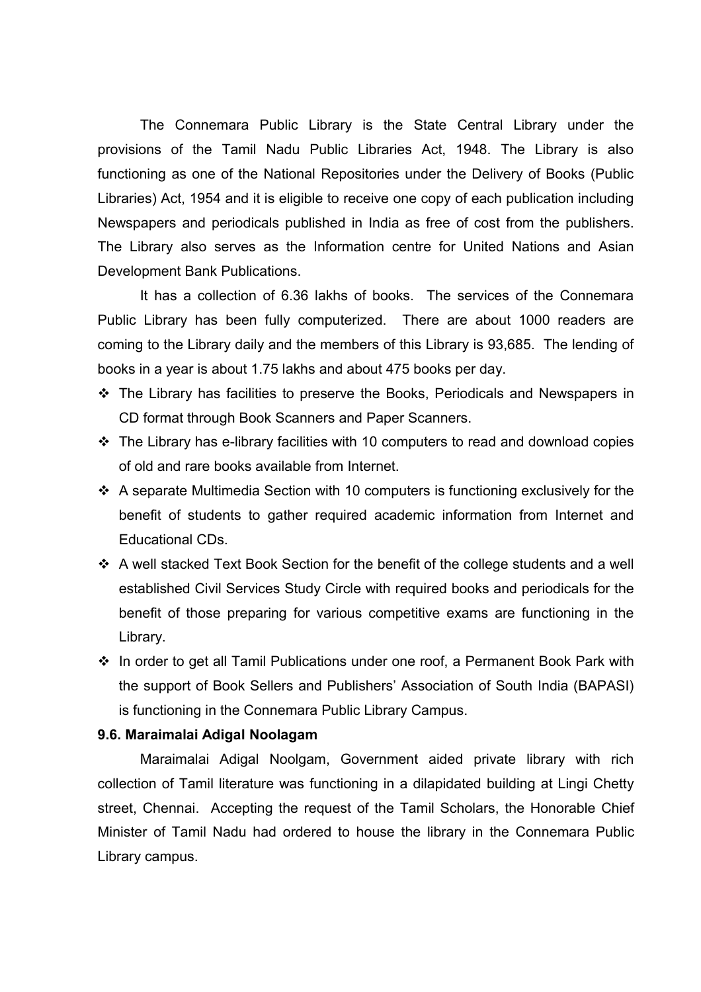The Connemara Public Library is the State Central Library under the provisions of the Tamil Nadu Public Libraries Act, 1948. The Library is also functioning as one of the National Repositories under the Delivery of Books (Public Libraries) Act, 1954 and it is eligible to receive one copy of each publication including Newspapers and periodicals published in India as free of cost from the publishers. The Library also serves as the Information centre for United Nations and Asian Development Bank Publications.

It has a collection of 6.36 lakhs of books. The services of the Connemara Public Library has been fully computerized. There are about 1000 readers are coming to the Library daily and the members of this Library is 93,685. The lending of books in a year is about 1.75 lakhs and about 475 books per day.

- The Library has facilities to preserve the Books, Periodicals and Newspapers in CD format through Book Scanners and Paper Scanners.
- $\cdot$  The Library has e-library facilities with 10 computers to read and download copies of old and rare books available from Internet.
- $\cdot$  A separate Multimedia Section with 10 computers is functioning exclusively for the benefit of students to gather required academic information from Internet and Educational CDs.
- A well stacked Text Book Section for the benefit of the college students and a well established Civil Services Study Circle with required books and periodicals for the benefit of those preparing for various competitive exams are functioning in the Library.
- In order to get all Tamil Publications under one roof, a Permanent Book Park with the support of Book Sellers and Publishers' Association of South India (BAPASI) is functioning in the Connemara Public Library Campus.

#### **9.6. Maraimalai Adigal Noolagam**

Maraimalai Adigal Noolgam, Government aided private library with rich collection of Tamil literature was functioning in a dilapidated building at Lingi Chetty street, Chennai. Accepting the request of the Tamil Scholars, the Honorable Chief Minister of Tamil Nadu had ordered to house the library in the Connemara Public Library campus.